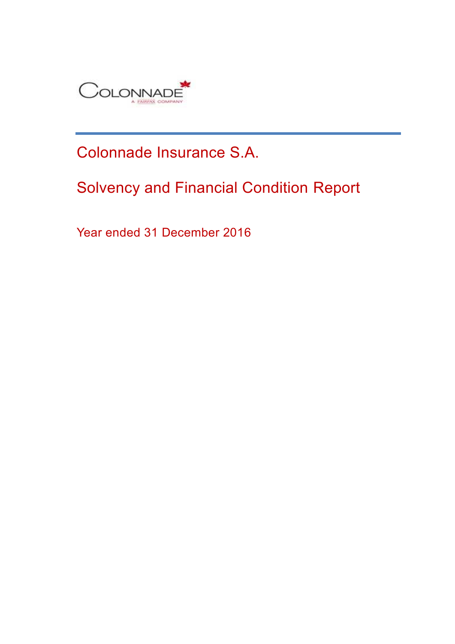

# Colonnade Insurance S.A.

# Solvency and Financial Condition Report

Year ended 31 December 2016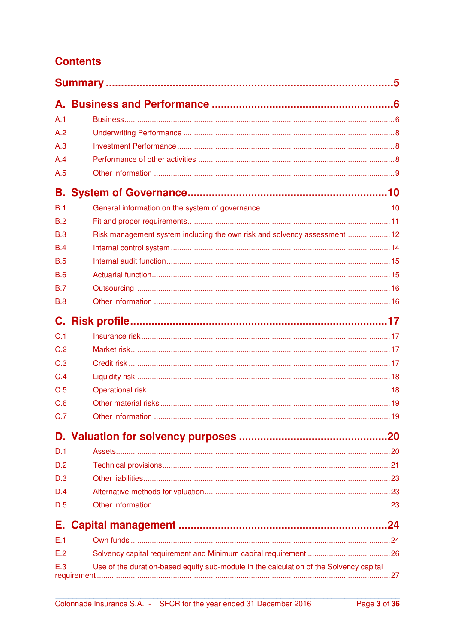## **Contents**

| A.1        |                                                                                        |     |
|------------|----------------------------------------------------------------------------------------|-----|
| A.2        |                                                                                        |     |
| A.3        |                                                                                        |     |
| A.4        |                                                                                        |     |
| A.5        |                                                                                        |     |
|            |                                                                                        |     |
| B.1        |                                                                                        |     |
| B.2        |                                                                                        |     |
| B.3        | Risk management system including the own risk and solvency assessment 12               |     |
| B.4        |                                                                                        |     |
| B.5        |                                                                                        |     |
| <b>B.6</b> |                                                                                        |     |
| B.7        |                                                                                        |     |
| <b>B.8</b> |                                                                                        |     |
|            |                                                                                        |     |
| C.1        |                                                                                        |     |
| C.2        |                                                                                        |     |
| C.3        |                                                                                        |     |
| C.4        |                                                                                        |     |
| C.5        |                                                                                        |     |
| C.6        |                                                                                        |     |
| C.7        |                                                                                        |     |
|            |                                                                                        |     |
| D.1        |                                                                                        |     |
| D.2        |                                                                                        |     |
| D.3        |                                                                                        |     |
| D.4        |                                                                                        |     |
| D.5        |                                                                                        |     |
| Е.         |                                                                                        | .24 |
| E.1        |                                                                                        |     |
| E.2        |                                                                                        |     |
| E.3        | Use of the duration-based equity sub-module in the calculation of the Solvency capital |     |
|            | requirement                                                                            |     |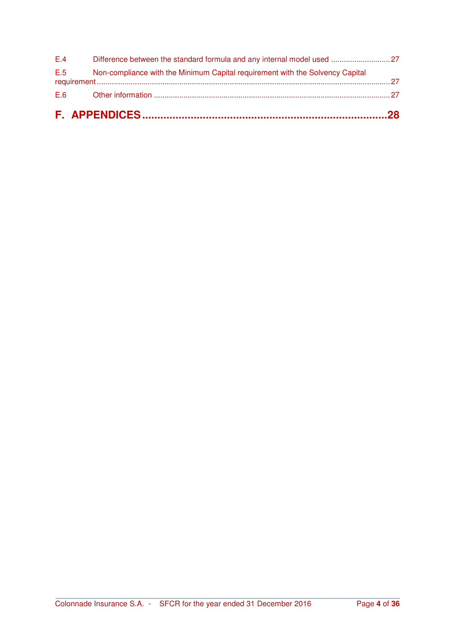|     | E.5 Non-compliance with the Minimum Capital requirement with the Solvency Capital |  |
|-----|-----------------------------------------------------------------------------------|--|
| E.4 |                                                                                   |  |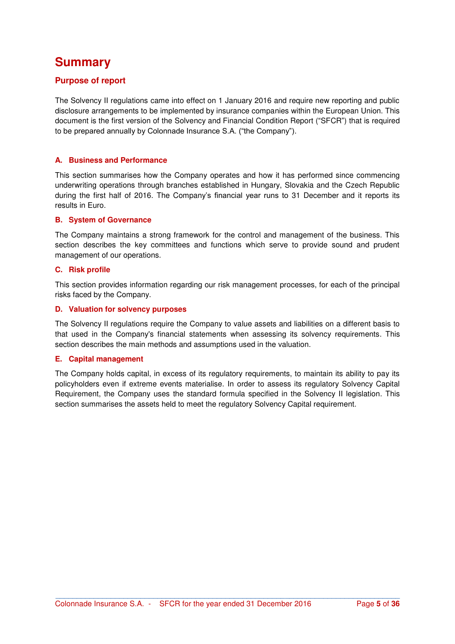## **Summary**

## **Purpose of report**

The Solvency II regulations came into effect on 1 January 2016 and require new reporting and public disclosure arrangements to be implemented by insurance companies within the European Union. This document is the first version of the Solvency and Financial Condition Report ("SFCR") that is required to be prepared annually by Colonnade Insurance S.A. ("the Company").

#### **A. Business and Performance**

This section summarises how the Company operates and how it has performed since commencing underwriting operations through branches established in Hungary, Slovakia and the Czech Republic during the first half of 2016. The Company's financial year runs to 31 December and it reports its results in Euro.

#### **B. System of Governance**

The Company maintains a strong framework for the control and management of the business. This section describes the key committees and functions which serve to provide sound and prudent management of our operations.

#### **C. Risk profile**

This section provides information regarding our risk management processes, for each of the principal risks faced by the Company.

#### **D. Valuation for solvency purposes**

The Solvency II regulations require the Company to value assets and liabilities on a different basis to that used in the Company's financial statements when assessing its solvency requirements. This section describes the main methods and assumptions used in the valuation.

#### **E. Capital management**

The Company holds capital, in excess of its regulatory requirements, to maintain its ability to pay its policyholders even if extreme events materialise. In order to assess its regulatory Solvency Capital Requirement, the Company uses the standard formula specified in the Solvency II legislation. This section summarises the assets held to meet the regulatory Solvency Capital requirement.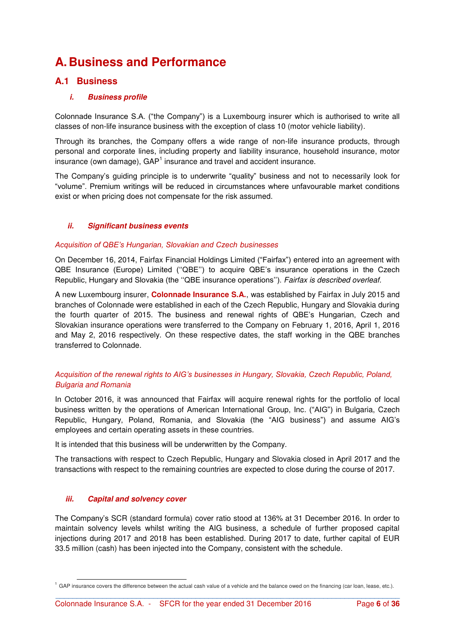## **A.Business and Performance**

## **A.1 Business**

#### *i. Business profile*

Colonnade Insurance S.A. ("the Company") is a Luxembourg insurer which is authorised to write all classes of non-life insurance business with the exception of class 10 (motor vehicle liability).

Through its branches, the Company offers a wide range of non-life insurance products, through personal and corporate lines, including property and liability insurance, household insurance, motor insurance (own damage), GAP<sup>1</sup> insurance and travel and accident insurance.

The Company's guiding principle is to underwrite "quality" business and not to necessarily look for "volume". Premium writings will be reduced in circumstances where unfavourable market conditions exist or when pricing does not compensate for the risk assumed.

#### *ii. Significant business events*

#### *Acquisition of QBE's Hungarian, Slovakian and Czech businesses*

On December 16, 2014, Fairfax Financial Holdings Limited ("Fairfax") entered into an agreement with QBE Insurance (Europe) Limited (''QBE'') to acquire QBE's insurance operations in the Czech Republic, Hungary and Slovakia (the ''QBE insurance operations''). *Fairfax is described overleaf.*

A new Luxembourg insurer, **Colonnade Insurance S.A.**, was established by Fairfax in July 2015 and branches of Colonnade were established in each of the Czech Republic, Hungary and Slovakia during the fourth quarter of 2015. The business and renewal rights of QBE's Hungarian, Czech and Slovakian insurance operations were transferred to the Company on February 1, 2016, April 1, 2016 and May 2, 2016 respectively. On these respective dates, the staff working in the QBE branches transferred to Colonnade.

#### *Acquisition of the renewal rights to AIG's businesses in Hungary, Slovakia, Czech Republic, Poland, Bulgaria and Romania*

In October 2016, it was announced that Fairfax will acquire renewal rights for the portfolio of local business written by the operations of American International Group, Inc. ("AIG") in Bulgaria, Czech Republic, Hungary, Poland, Romania, and Slovakia (the "AIG business") and assume AIG's employees and certain operating assets in these countries.

It is intended that this business will be underwritten by the Company.

The transactions with respect to Czech Republic, Hungary and Slovakia closed in April 2017 and the transactions with respect to the remaining countries are expected to close during the course of 2017.

#### *iii. Capital and solvency cover*

The Company's SCR (standard formula) cover ratio stood at 136% at 31 December 2016. In order to maintain solvency levels whilst writing the AIG business, a schedule of further proposed capital injections during 2017 and 2018 has been established. During 2017 to date, further capital of EUR 33.5 million (cash) has been injected into the Company, consistent with the schedule.

**\_\_\_\_\_\_\_\_\_\_\_\_\_\_\_\_\_\_\_\_\_\_\_\_\_\_\_\_\_\_\_\_\_\_\_\_\_\_\_\_\_\_\_\_\_\_\_\_\_\_\_\_\_\_\_\_\_\_\_\_\_\_\_\_\_\_\_\_\_\_\_\_\_\_\_\_\_\_\_\_\_** l <sup>1</sup> GAP insurance covers the difference between the actual cash value of a vehicle and the balance owed on the financing (car loan, lease, etc.).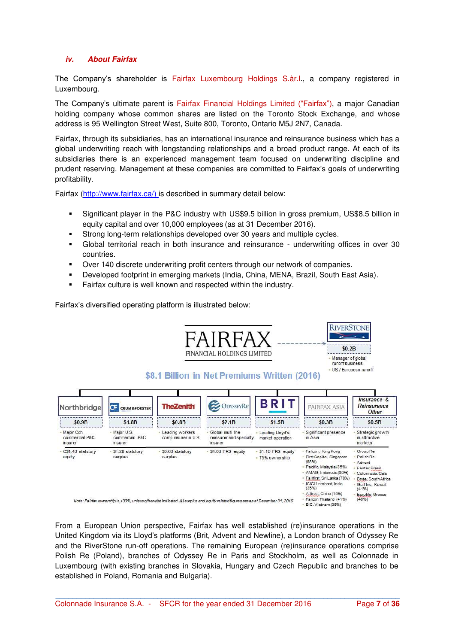#### *iv. About Fairfax*

The Company's shareholder is Fairfax Luxembourg Holdings S.àr.l., a company registered in Luxembourg.

The Company's ultimate parent is Fairfax Financial Holdings Limited ("Fairfax"), a major Canadian holding company whose common shares are listed on the Toronto Stock Exchange, and whose address is 95 Wellington Street West, Suite 800, Toronto, Ontario M5J 2N7, Canada.

Fairfax, through its subsidiaries, has an international insurance and reinsurance business which has a global underwriting reach with longstanding relationships and a broad product range. At each of its subsidiaries there is an experienced management team focused on underwriting discipline and prudent reserving. Management at these companies are committed to Fairfax's goals of underwriting profitability.

Fairfax [\(http://www.fairfax.ca/\)](http://www.fairfax.ca/) is described in summary detail below:

- Significant player in the P&C industry with US\$9.5 billion in gross premium, US\$8.5 billion in equity capital and over 10,000 employees (as at 31 December 2016).
- Strong long-term relationships developed over 30 years and multiple cycles.
- Global territorial reach in both insurance and reinsurance underwriting offices in over 30 countries.
- Over 140 discrete underwriting profit centers through our network of companies.
- Developed footprint in emerging markets (India, China, MENA, Brazil, South East Asia).
- **Fairfax culture is well known and respected within the industry.**

Fairfax's diversified operating platform is illustrated below:



From a European Union perspective, Fairfax has well established (re)insurance operations in the United Kingdom via its Lloyd's platforms (Brit, Advent and Newline), a London branch of Odyssey Re and the RiverStone run-off operations. The remaining European (re)insurance operations comprise Polish Re (Poland), branches of Odyssey Re in Paris and Stockholm, as well as Colonnade in Luxembourg (with existing branches in Slovakia, Hungary and Czech Republic and branches to be established in Poland, Romania and Bulgaria).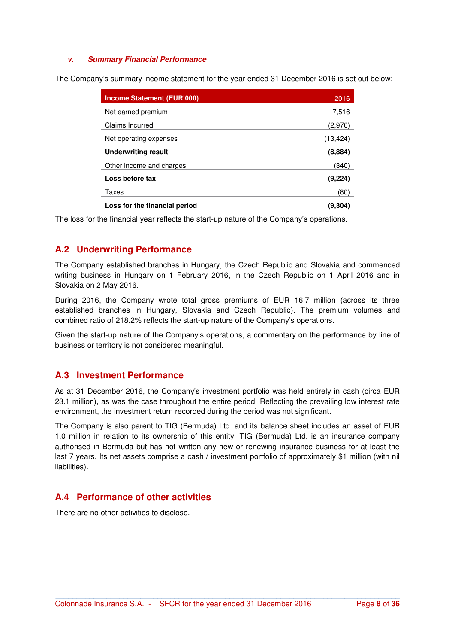#### *v. Summary Financial Performance*

The Company's summary income statement for the year ended 31 December 2016 is set out below:

| <b>Income Statement (EUR'000)</b> | 2016      |
|-----------------------------------|-----------|
| Net earned premium                | 7,516     |
| Claims Incurred                   | (2,976)   |
| Net operating expenses            | (13, 424) |
| <b>Underwriting result</b>        | (8,884)   |
| Other income and charges          | (340)     |
| Loss before tax                   | (9,224    |
| Taxes                             | (80)      |
| Loss for the financial period     | (9.30     |

The loss for the financial year reflects the start-up nature of the Company's operations.

### **A.2 Underwriting Performance**

The Company established branches in Hungary, the Czech Republic and Slovakia and commenced writing business in Hungary on 1 February 2016, in the Czech Republic on 1 April 2016 and in Slovakia on 2 May 2016.

During 2016, the Company wrote total gross premiums of EUR 16.7 million (across its three established branches in Hungary, Slovakia and Czech Republic). The premium volumes and combined ratio of 218.2% reflects the start-up nature of the Company's operations.

Given the start-up nature of the Company's operations, a commentary on the performance by line of business or territory is not considered meaningful.

### **A.3 Investment Performance**

As at 31 December 2016, the Company's investment portfolio was held entirely in cash (circa EUR 23.1 million), as was the case throughout the entire period. Reflecting the prevailing low interest rate environment, the investment return recorded during the period was not significant.

The Company is also parent to TIG (Bermuda) Ltd. and its balance sheet includes an asset of EUR 1.0 million in relation to its ownership of this entity. TIG (Bermuda) Ltd. is an insurance company authorised in Bermuda but has not written any new or renewing insurance business for at least the last 7 years. Its net assets comprise a cash / investment portfolio of approximately \$1 million (with nil liabilities).

**\_\_\_\_\_\_\_\_\_\_\_\_\_\_\_\_\_\_\_\_\_\_\_\_\_\_\_\_\_\_\_\_\_\_\_\_\_\_\_\_\_\_\_\_\_\_\_\_\_\_\_\_\_\_\_\_\_\_\_\_\_\_\_\_\_\_\_\_\_\_\_\_\_\_\_\_\_\_\_\_\_**

## **A.4 Performance of other activities**

There are no other activities to disclose.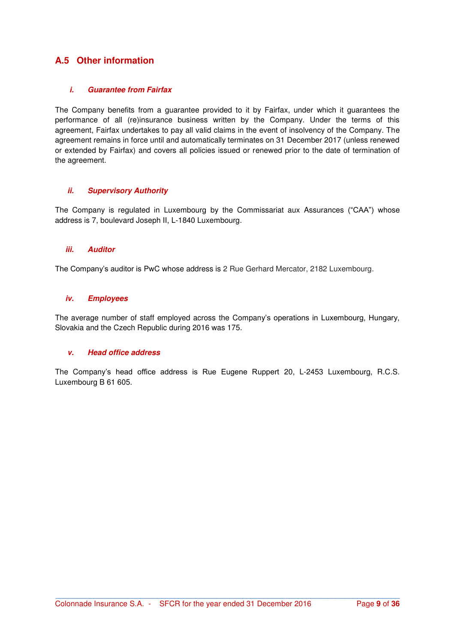## **A.5 Other information**

#### *i. Guarantee from Fairfax*

The Company benefits from a guarantee provided to it by Fairfax, under which it guarantees the performance of all (re)insurance business written by the Company. Under the terms of this agreement, Fairfax undertakes to pay all valid claims in the event of insolvency of the Company. The agreement remains in force until and automatically terminates on 31 December 2017 (unless renewed or extended by Fairfax) and covers all policies issued or renewed prior to the date of termination of the agreement.

#### *ii. Supervisory Authority*

The Company is regulated in Luxembourg by the Commissariat aux Assurances ("CAA") whose address is 7, boulevard Joseph II, L-1840 Luxembourg.

#### *iii. Auditor*

The Company's auditor is PwC whose address is 2 Rue Gerhard Mercator, 2182 Luxembourg.

#### *iv. Employees*

The average number of staff employed across the Company's operations in Luxembourg, Hungary, Slovakia and the Czech Republic during 2016 was 175.

#### *v. Head office address*

The Company's head office address is Rue Eugene Ruppert 20, L-2453 Luxembourg, R.C.S. Luxembourg B 61 605.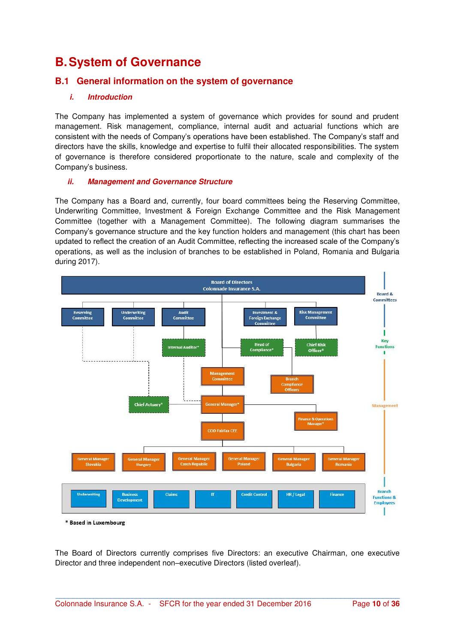## **B. System of Governance**

## **B.1 General information on the system of governance**

### *i. Introduction*

The Company has implemented a system of governance which provides for sound and prudent management. Risk management, compliance, internal audit and actuarial functions which are consistent with the needs of Company's operations have been established. The Company's staff and directors have the skills, knowledge and expertise to fulfil their allocated responsibilities. The system of governance is therefore considered proportionate to the nature, scale and complexity of the Company's business.

#### *ii. Management and Governance Structure*

The Company has a Board and, currently, four board committees being the Reserving Committee, Underwriting Committee, Investment & Foreign Exchange Committee and the Risk Management Committee (together with a Management Committee). The following diagram summarises the Company's governance structure and the key function holders and management (this chart has been updated to reflect the creation of an Audit Committee, reflecting the increased scale of the Company's operations, as well as the inclusion of branches to be established in Poland, Romania and Bulgaria during 2017).



\* Based in Luxembourg

The Board of Directors currently comprises five Directors: an executive Chairman, one executive Director and three independent non–executive Directors (listed overleaf).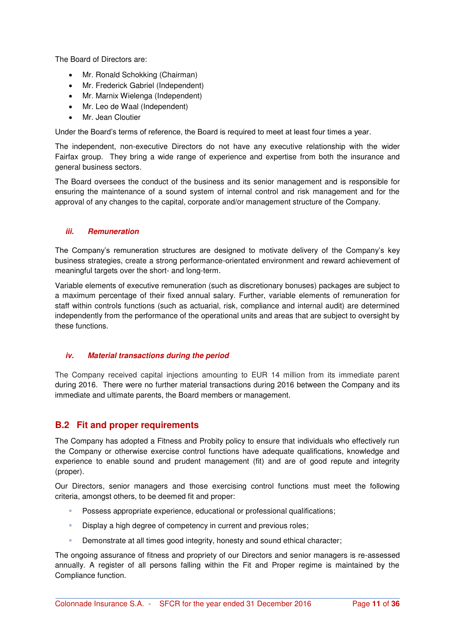The Board of Directors are:

- Mr. Ronald Schokking (Chairman)
- Mr. Frederick Gabriel (Independent)
- Mr. Marnix Wielenga (Independent)
- Mr. Leo de Waal (Independent)
- Mr. Jean Cloutier

Under the Board's terms of reference, the Board is required to meet at least four times a year.

The independent, non-executive Directors do not have any executive relationship with the wider Fairfax group. They bring a wide range of experience and expertise from both the insurance and general business sectors.

The Board oversees the conduct of the business and its senior management and is responsible for ensuring the maintenance of a sound system of internal control and risk management and for the approval of any changes to the capital, corporate and/or management structure of the Company.

### *iii. Remuneration*

The Company's remuneration structures are designed to motivate delivery of the Company's key business strategies, create a strong performance-orientated environment and reward achievement of meaningful targets over the short- and long-term.

Variable elements of executive remuneration (such as discretionary bonuses) packages are subject to a maximum percentage of their fixed annual salary. Further, variable elements of remuneration for staff within controls functions (such as actuarial, risk, compliance and internal audit) are determined independently from the performance of the operational units and areas that are subject to oversight by these functions.

#### *iv. Material transactions during the period*

The Company received capital injections amounting to EUR 14 million from its immediate parent during 2016. There were no further material transactions during 2016 between the Company and its immediate and ultimate parents, the Board members or management.

### **B.2 Fit and proper requirements**

The Company has adopted a Fitness and Probity policy to ensure that individuals who effectively run the Company or otherwise exercise control functions have adequate qualifications, knowledge and experience to enable sound and prudent management (fit) and are of good repute and integrity (proper).

Our Directors, senior managers and those exercising control functions must meet the following criteria, amongst others, to be deemed fit and proper:

- Possess appropriate experience, educational or professional qualifications;
- Display a high degree of competency in current and previous roles;
- Demonstrate at all times good integrity, honesty and sound ethical character;

The ongoing assurance of fitness and propriety of our Directors and senior managers is re-assessed annually. A register of all persons falling within the Fit and Proper regime is maintained by the Compliance function.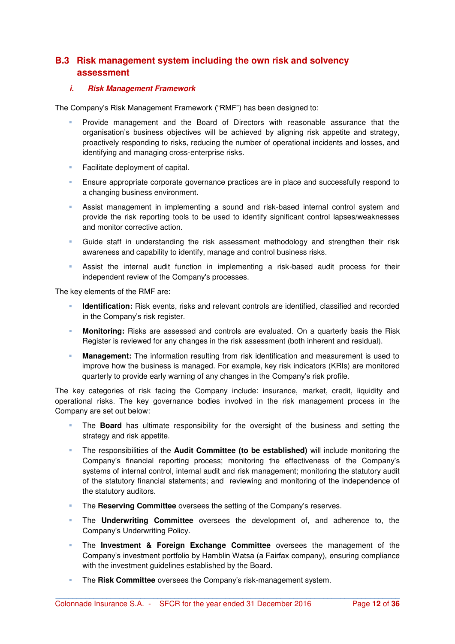## **B.3 Risk management system including the own risk and solvency assessment**

#### *i. Risk Management Framework*

The Company's Risk Management Framework ("RMF") has been designed to:

- Provide management and the Board of Directors with reasonable assurance that the organisation's business objectives will be achieved by aligning risk appetite and strategy, proactively responding to risks, reducing the number of operational incidents and losses, and identifying and managing cross-enterprise risks.
- **Facilitate deployment of capital.**
- **Ensure appropriate corporate governance practices are in place and successfully respond to** a changing business environment.
- Assist management in implementing a sound and risk-based internal control system and provide the risk reporting tools to be used to identify significant control lapses/weaknesses and monitor corrective action.
- Guide staff in understanding the risk assessment methodology and strengthen their risk awareness and capability to identify, manage and control business risks.
- Assist the internal audit function in implementing a risk-based audit process for their independent review of the Company's processes.

The key elements of the RMF are:

- **Identification:** Risk events, risks and relevant controls are identified, classified and recorded in the Company's risk register.
- **Monitoring:** Risks are assessed and controls are evaluated. On a quarterly basis the Risk Register is reviewed for any changes in the risk assessment (both inherent and residual).
- **Management:** The information resulting from risk identification and measurement is used to improve how the business is managed. For example, key risk indicators (KRIs) are monitored quarterly to provide early warning of any changes in the Company's risk profile.

The key categories of risk facing the Company include: insurance, market, credit, liquidity and operational risks. The key governance bodies involved in the risk management process in the Company are set out below:

- The **Board** has ultimate responsibility for the oversight of the business and setting the strategy and risk appetite.
- The responsibilities of the **Audit Committee (to be established)** will include monitoring the Company's financial reporting process; monitoring the effectiveness of the Company's systems of internal control, internal audit and risk management; monitoring the statutory audit of the statutory financial statements; and reviewing and monitoring of the independence of the statutory auditors.
- The **Reserving Committee** oversees the setting of the Company's reserves.
- The **Underwriting Committee** oversees the development of, and adherence to, the Company's Underwriting Policy.
- The **Investment & Foreign Exchange Committee** oversees the management of the Company's investment portfolio by Hamblin Watsa (a Fairfax company), ensuring compliance with the investment guidelines established by the Board.

**\_\_\_\_\_\_\_\_\_\_\_\_\_\_\_\_\_\_\_\_\_\_\_\_\_\_\_\_\_\_\_\_\_\_\_\_\_\_\_\_\_\_\_\_\_\_\_\_\_\_\_\_\_\_\_\_\_\_\_\_\_\_\_\_\_\_\_\_\_\_\_\_\_\_\_\_\_\_\_\_\_**

The **Risk Committee** oversees the Company's risk-management system.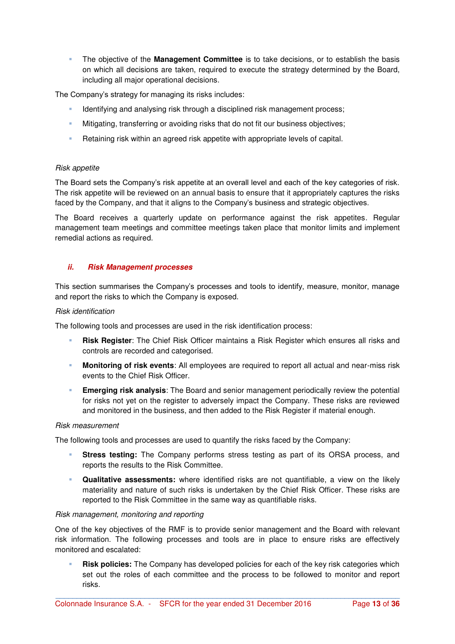The objective of the **Management Committee** is to take decisions, or to establish the basis on which all decisions are taken, required to execute the [strategy](http://www.electrocomponents.com/about-us/strategy) determined by the Board, including all major operational decisions.

The Company's strategy for managing its risks includes:

- Identifying and analysing risk through a disciplined risk management process;
- Mitigating, transferring or avoiding risks that do not fit our business objectives;
- Retaining risk within an agreed risk appetite with appropriate levels of capital.

#### *Risk appetite*

The Board sets the Company's risk appetite at an overall level and each of the key categories of risk. The risk appetite will be reviewed on an annual basis to ensure that it appropriately captures the risks faced by the Company, and that it aligns to the Company's business and strategic objectives.

The Board receives a quarterly update on performance against the risk appetites. Regular management team meetings and committee meetings taken place that monitor limits and implement remedial actions as required.

#### *ii. Risk Management processes*

This section summarises the Company's processes and tools to identify, measure, monitor, manage and report the risks to which the Company is exposed.

#### *Risk identification*

The following tools and processes are used in the risk identification process:

- **Risk Register**: The Chief Risk Officer maintains a Risk Register which ensures all risks and controls are recorded and categorised.
- **Monitoring of risk events**: All employees are required to report all actual and near-miss risk events to the Chief Risk Officer.
- **Emerging risk analysis**: The Board and senior management periodically review the potential for risks not yet on the register to adversely impact the Company. These risks are reviewed and monitored in the business, and then added to the Risk Register if material enough.

#### *Risk measurement*

The following tools and processes are used to quantify the risks faced by the Company:

- **Stress testing:** The Company performs stress testing as part of its ORSA process, and reports the results to the Risk Committee.
- **Qualitative assessments:** where identified risks are not quantifiable, a view on the likely materiality and nature of such risks is undertaken by the Chief Risk Officer. These risks are reported to the Risk Committee in the same way as quantifiable risks.

#### *Risk management, monitoring and reporting*

One of the key objectives of the RMF is to provide senior management and the Board with relevant risk information. The following processes and tools are in place to ensure risks are effectively monitored and escalated:

 **Risk policies:** The Company has developed policies for each of the key risk categories which set out the roles of each committee and the process to be followed to monitor and report risks.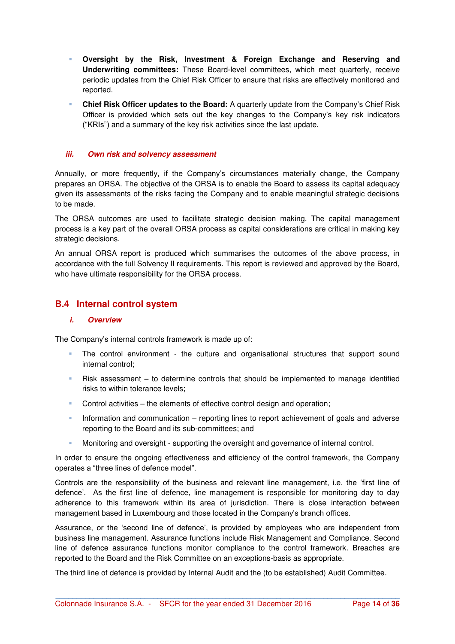- **Oversight by the Risk, Investment & Foreign Exchange and Reserving and Underwriting committees:** These Board-level committees, which meet quarterly, receive periodic updates from the Chief Risk Officer to ensure that risks are effectively monitored and reported.
- **Chief Risk Officer updates to the Board:** A quarterly update from the Company's Chief Risk Officer is provided which sets out the key changes to the Company's key risk indicators ("KRIs") and a summary of the key risk activities since the last update.

#### *iii. Own risk and solvency assessment*

Annually, or more frequently, if the Company's circumstances materially change, the Company prepares an ORSA. The objective of the ORSA is to enable the Board to assess its capital adequacy given its assessments of the risks facing the Company and to enable meaningful strategic decisions to be made.

The ORSA outcomes are used to facilitate strategic decision making. The capital management process is a key part of the overall ORSA process as capital considerations are critical in making key strategic decisions.

An annual ORSA report is produced which summarises the outcomes of the above process, in accordance with the full Solvency II requirements. This report is reviewed and approved by the Board, who have ultimate responsibility for the ORSA process.

## **B.4 Internal control system**

#### *i. Overview*

The Company's internal controls framework is made up of:

- The control environment the culture and organisational structures that support sound internal control;
- Risk assessment to determine controls that should be implemented to manage identified risks to within tolerance levels;
- Control activities the elements of effective control design and operation;
- Information and communication reporting lines to report achievement of goals and adverse reporting to the Board and its sub-committees; and
- Monitoring and oversight supporting the oversight and governance of internal control.

In order to ensure the ongoing effectiveness and efficiency of the control framework, the Company operates a "three lines of defence model".

Controls are the responsibility of the business and relevant line management, i.e. the 'first line of defence'. As the first line of defence, line management is responsible for monitoring day to day adherence to this framework within its area of jurisdiction. There is close interaction between management based in Luxembourg and those located in the Company's branch offices.

Assurance, or the 'second line of defence', is provided by employees who are independent from business line management. Assurance functions include Risk Management and Compliance. Second line of defence assurance functions monitor compliance to the control framework. Breaches are reported to the Board and the Risk Committee on an exceptions-basis as appropriate.

**\_\_\_\_\_\_\_\_\_\_\_\_\_\_\_\_\_\_\_\_\_\_\_\_\_\_\_\_\_\_\_\_\_\_\_\_\_\_\_\_\_\_\_\_\_\_\_\_\_\_\_\_\_\_\_\_\_\_\_\_\_\_\_\_\_\_\_\_\_\_\_\_\_\_\_\_\_\_\_\_\_**

The third line of defence is provided by Internal Audit and the (to be established) Audit Committee.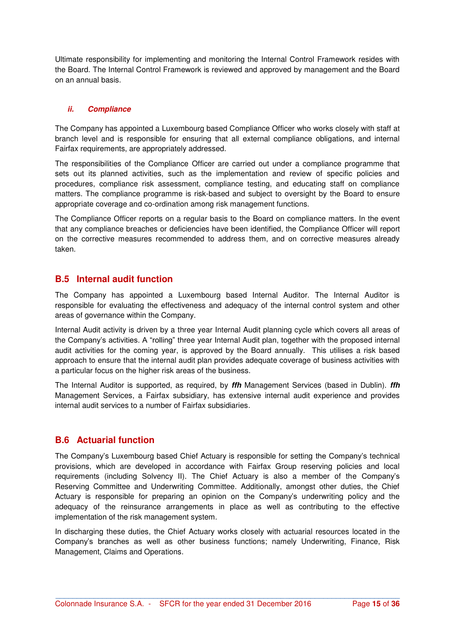Ultimate responsibility for implementing and monitoring the Internal Control Framework resides with the Board. The Internal Control Framework is reviewed and approved by management and the Board on an annual basis.

#### *ii. Compliance*

The Company has appointed a Luxembourg based Compliance Officer who works closely with staff at branch level and is responsible for ensuring that all external compliance obligations, and internal Fairfax requirements, are appropriately addressed.

The responsibilities of the Compliance Officer are carried out under a compliance programme that sets out its planned activities, such as the implementation and review of specific policies and procedures, compliance risk assessment, compliance testing, and educating staff on compliance matters. The compliance programme is risk-based and subject to oversight by the Board to ensure appropriate coverage and co-ordination among risk management functions.

The Compliance Officer reports on a regular basis to the Board on compliance matters. In the event that any compliance breaches or deficiencies have been identified, the Compliance Officer will report on the corrective measures recommended to address them, and on corrective measures already taken.

### **B.5 Internal audit function**

The Company has appointed a Luxembourg based Internal Auditor. The Internal Auditor is responsible for evaluating the effectiveness and adequacy of the internal control system and other areas of governance within the Company.

Internal Audit activity is driven by a three year Internal Audit planning cycle which covers all areas of the Company's activities. A "rolling" three year Internal Audit plan, together with the proposed internal audit activities for the coming year, is approved by the Board annually. This utilises a risk based approach to ensure that the internal audit plan provides adequate coverage of business activities with a particular focus on the higher risk areas of the business.

The Internal Auditor is supported, as required, by *ffh* Management Services (based in Dublin). *ffh* Management Services, a Fairfax subsidiary, has extensive internal audit experience and provides internal audit services to a number of Fairfax subsidiaries.

### **B.6 Actuarial function**

The Company's Luxembourg based Chief Actuary is responsible for setting the Company's technical provisions, which are developed in accordance with Fairfax Group reserving policies and local requirements (including Solvency II). The Chief Actuary is also a member of the Company's Reserving Committee and Underwriting Committee. Additionally, amongst other duties, the Chief Actuary is responsible for preparing an opinion on the Company's underwriting policy and the adequacy of the reinsurance arrangements in place as well as contributing to the effective implementation of the risk management system.

In discharging these duties, the Chief Actuary works closely with actuarial resources located in the Company's branches as well as other business functions; namely Underwriting, Finance, Risk Management, Claims and Operations.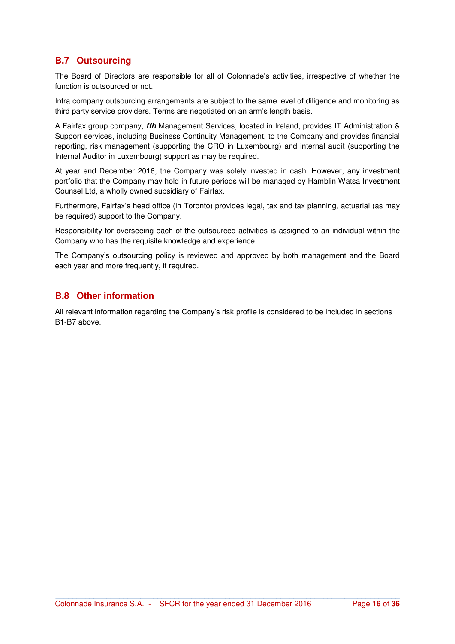## **B.7 Outsourcing**

The Board of Directors are responsible for all of Colonnade's activities, irrespective of whether the function is outsourced or not.

Intra company outsourcing arrangements are subject to the same level of diligence and monitoring as third party service providers. Terms are negotiated on an arm's length basis.

A Fairfax group company, *ffh* Management Services, located in Ireland, provides IT Administration & Support services, including Business Continuity Management, to the Company and provides financial reporting, risk management (supporting the CRO in Luxembourg) and internal audit (supporting the Internal Auditor in Luxembourg) support as may be required.

At year end December 2016, the Company was solely invested in cash. However, any investment portfolio that the Company may hold in future periods will be managed by Hamblin Watsa Investment Counsel Ltd, a wholly owned subsidiary of Fairfax.

Furthermore, Fairfax's head office (in Toronto) provides legal, tax and tax planning, actuarial (as may be required) support to the Company.

Responsibility for overseeing each of the outsourced activities is assigned to an individual within the Company who has the requisite knowledge and experience.

The Company's outsourcing policy is reviewed and approved by both management and the Board each year and more frequently, if required.

## **B.8 Other information**

All relevant information regarding the Company's risk profile is considered to be included in sections B1-B7 above.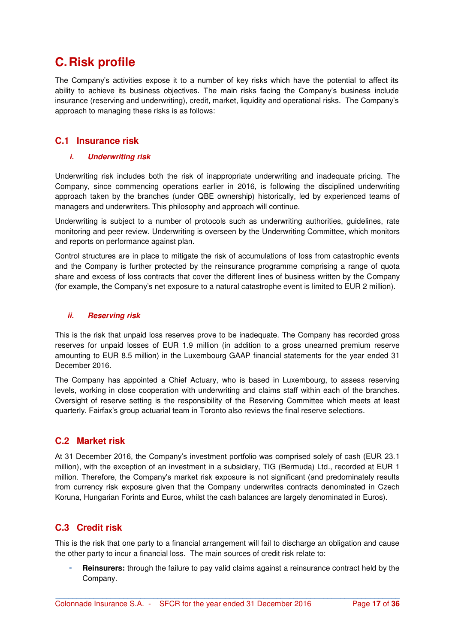## **C. Risk profile**

The Company's activities expose it to a number of key risks which have the potential to affect its ability to achieve its business objectives. The main risks facing the Company's business include insurance (reserving and underwriting), credit, market, liquidity and operational risks. The Company's approach to managing these risks is as follows:

## **C.1 Insurance risk**

### *i. Underwriting risk*

Underwriting risk includes both the risk of inappropriate underwriting and inadequate pricing. The Company, since commencing operations earlier in 2016, is following the disciplined underwriting approach taken by the branches (under QBE ownership) historically, led by experienced teams of managers and underwriters. This philosophy and approach will continue.

Underwriting is subject to a number of protocols such as underwriting authorities, guidelines, rate monitoring and peer review. Underwriting is overseen by the Underwriting Committee, which monitors and reports on performance against plan.

Control structures are in place to mitigate the risk of accumulations of loss from catastrophic events and the Company is further protected by the reinsurance programme comprising a range of quota share and excess of loss contracts that cover the different lines of business written by the Company (for example, the Company's net exposure to a natural catastrophe event is limited to EUR 2 million).

### *ii. Reserving risk*

This is the risk that unpaid loss reserves prove to be inadequate. The Company has recorded gross reserves for unpaid losses of EUR 1.9 million (in addition to a gross unearned premium reserve amounting to EUR 8.5 million) in the Luxembourg GAAP financial statements for the year ended 31 December 2016.

The Company has appointed a Chief Actuary, who is based in Luxembourg, to assess reserving levels, working in close cooperation with underwriting and claims staff within each of the branches. Oversight of reserve setting is the responsibility of the Reserving Committee which meets at least quarterly. Fairfax's group actuarial team in Toronto also reviews the final reserve selections.

## **C.2 Market risk**

At 31 December 2016, the Company's investment portfolio was comprised solely of cash (EUR 23.1 million), with the exception of an investment in a subsidiary, TIG (Bermuda) Ltd., recorded at EUR 1 million. Therefore, the Company's market risk exposure is not significant (and predominately results from currency risk exposure given that the Company underwrites contracts denominated in Czech Koruna, Hungarian Forints and Euros, whilst the cash balances are largely denominated in Euros).

## **C.3 Credit risk**

This is the risk that one party to a financial arrangement will fail to discharge an obligation and cause the other party to incur a financial loss. The main sources of credit risk relate to:

 **Reinsurers:** through the failure to pay valid claims against a reinsurance contract held by the Company.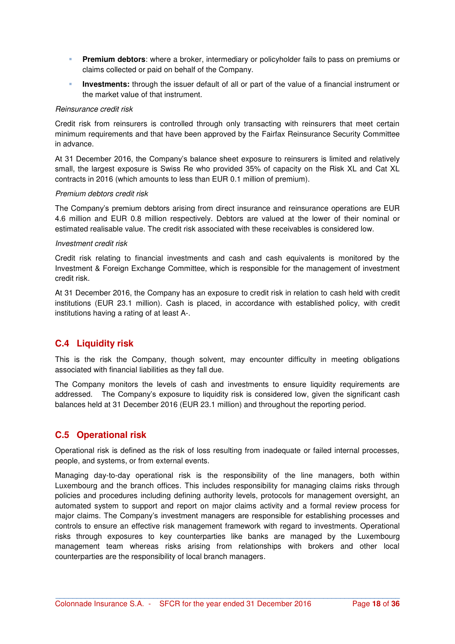- **Premium debtors**: where a broker, intermediary or policyholder fails to pass on premiums or claims collected or paid on behalf of the Company.
- **Investments:** through the issuer default of all or part of the value of a financial instrument or the market value of that instrument.

#### *Reinsurance credit risk*

Credit risk from reinsurers is controlled through only transacting with reinsurers that meet certain minimum requirements and that have been approved by the Fairfax Reinsurance Security Committee in advance.

At 31 December 2016, the Company's balance sheet exposure to reinsurers is limited and relatively small, the largest exposure is Swiss Re who provided 35% of capacity on the Risk XL and Cat XL contracts in 2016 (which amounts to less than EUR 0.1 million of premium).

#### *Premium debtors credit risk*

The Company's premium debtors arising from direct insurance and reinsurance operations are EUR 4.6 million and EUR 0.8 million respectively. Debtors are valued at the lower of their nominal or estimated realisable value. The credit risk associated with these receivables is considered low.

#### *Investment credit risk*

Credit risk relating to financial investments and cash and cash equivalents is monitored by the Investment & Foreign Exchange Committee, which is responsible for the management of investment credit risk.

At 31 December 2016, the Company has an exposure to credit risk in relation to cash held with credit institutions (EUR 23.1 million). Cash is placed, in accordance with established policy, with credit institutions having a rating of at least A-.

## **C.4 Liquidity risk**

This is the risk the Company, though solvent, may encounter difficulty in meeting obligations associated with financial liabilities as they fall due.

The Company monitors the levels of cash and investments to ensure liquidity requirements are addressed. The Company's exposure to liquidity risk is considered low, given the significant cash balances held at 31 December 2016 (EUR 23.1 million) and throughout the reporting period.

## **C.5 Operational risk**

Operational risk is defined as the risk of loss resulting from inadequate or failed internal processes, people, and systems, or from external events.

Managing day-to-day operational risk is the responsibility of the line managers, both within Luxembourg and the branch offices. This includes responsibility for managing claims risks through policies and procedures including defining authority levels, protocols for management oversight, an automated system to support and report on major claims activity and a formal review process for major claims. The Company's investment managers are responsible for establishing processes and controls to ensure an effective risk management framework with regard to investments. Operational risks through exposures to key counterparties like banks are managed by the Luxembourg management team whereas risks arising from relationships with brokers and other local counterparties are the responsibility of local branch managers.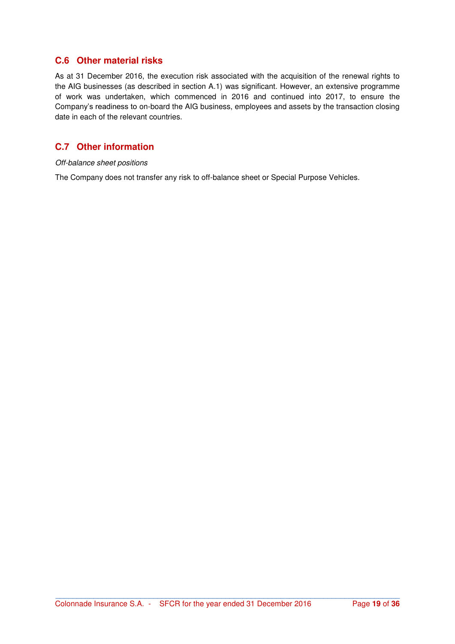## **C.6 Other material risks**

As at 31 December 2016, the execution risk associated with the acquisition of the renewal rights to the AIG businesses (as described in section A.1) was significant. However, an extensive programme of work was undertaken, which commenced in 2016 and continued into 2017, to ensure the Company's readiness to on-board the AIG business, employees and assets by the transaction closing date in each of the relevant countries.

## **C.7 Other information**

#### *Off-balance sheet positions*

The Company does not transfer any risk to off-balance sheet or Special Purpose Vehicles.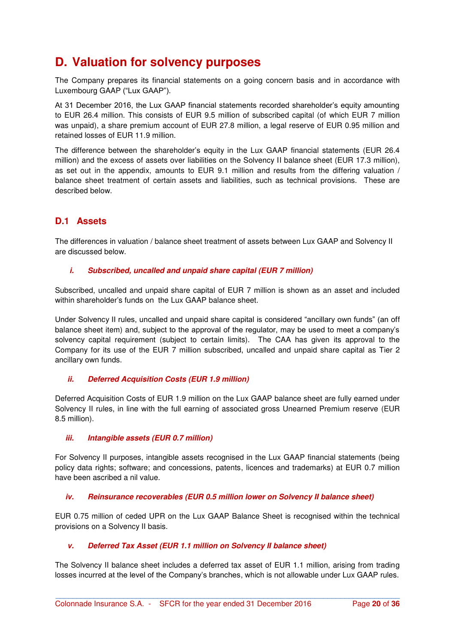## **D. Valuation for solvency purposes**

The Company prepares its financial statements on a going concern basis and in accordance with Luxembourg GAAP ("Lux GAAP").

At 31 December 2016, the Lux GAAP financial statements recorded shareholder's equity amounting to EUR 26.4 million. This consists of EUR 9.5 million of subscribed capital (of which EUR 7 million was unpaid), a share premium account of EUR 27.8 million, a legal reserve of EUR 0.95 million and retained losses of EUR 11.9 million.

The difference between the shareholder's equity in the Lux GAAP financial statements (EUR 26.4 million) and the excess of assets over liabilities on the Solvency II balance sheet (EUR 17.3 million), as set out in the appendix, amounts to EUR 9.1 million and results from the differing valuation / balance sheet treatment of certain assets and liabilities, such as technical provisions. These are described below.

## **D.1 Assets**

The differences in valuation / balance sheet treatment of assets between Lux GAAP and Solvency II are discussed below.

#### *i. Subscribed, uncalled and unpaid share capital (EUR 7 million)*

Subscribed, uncalled and unpaid share capital of EUR 7 million is shown as an asset and included within shareholder's funds on the Lux GAAP balance sheet.

Under Solvency II rules, uncalled and unpaid share capital is considered "ancillary own funds" (an off balance sheet item) and, subject to the approval of the regulator, may be used to meet a company's solvency capital requirement (subject to certain limits). The CAA has given its approval to the Company for its use of the EUR 7 million subscribed, uncalled and unpaid share capital as Tier 2 ancillary own funds.

#### *ii. Deferred Acquisition Costs (EUR 1.9 million)*

Deferred Acquisition Costs of EUR 1.9 million on the Lux GAAP balance sheet are fully earned under Solvency II rules, in line with the full earning of associated gross Unearned Premium reserve (EUR 8.5 million).

#### *iii. Intangible assets (EUR 0.7 million)*

For Solvency II purposes, intangible assets recognised in the Lux GAAP financial statements (being policy data rights; software; and concessions, patents, licences and trademarks) at EUR 0.7 million have been ascribed a nil value.

#### *iv.* Reinsurance recoverables (EUR 0.5 million lower on Solvency II balance sheet)

EUR 0.75 million of ceded UPR on the Lux GAAP Balance Sheet is recognised within the technical provisions on a Solvency II basis.

#### *v. Deferred Tax Asset (EUR 1.1 million on Solvency II balance sheet)*

The Solvency II balance sheet includes a deferred tax asset of EUR 1.1 million, arising from trading losses incurred at the level of the Company's branches, which is not allowable under Lux GAAP rules.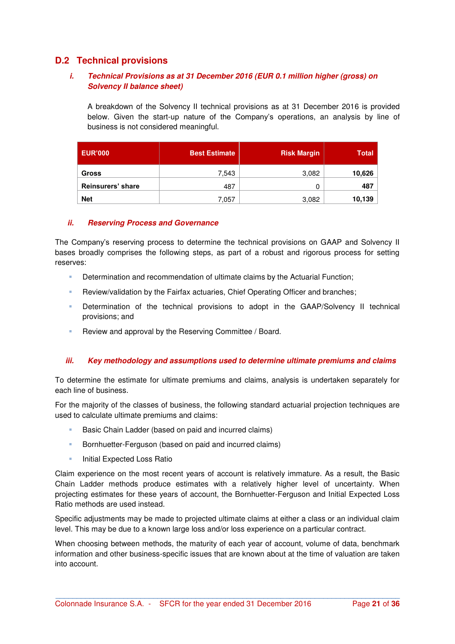## **D.2 Technical provisions**

#### *i. Technical Provisions as at 31 December 2016 (EUR 0.1 million higher (gross) on Solvency II balance sheet)*

A breakdown of the Solvency II technical provisions as at 31 December 2016 is provided below. Given the start-up nature of the Company's operations, an analysis by line of business is not considered meaningful.

| <b>EUR'000</b>    | <b>Best Estimate</b> | <b>Risk Margin</b> | <b>Total</b> |
|-------------------|----------------------|--------------------|--------------|
| <b>Gross</b>      | 7,543                | 3,082              | 10,626       |
| Reinsurers' share | 487                  |                    | 487          |
| <b>Net</b>        | 7.057                | 3,082              | 10,139       |

#### *ii. Reserving Process and Governance*

The Company's reserving process to determine the technical provisions on GAAP and Solvency II bases broadly comprises the following steps, as part of a robust and rigorous process for setting reserves:

- Determination and recommendation of ultimate claims by the Actuarial Function;
- **Review/validation by the Fairfax actuaries, Chief Operating Officer and branches;**
- Determination of the technical provisions to adopt in the GAAP/Solvency II technical provisions; and
- **Review and approval by the Reserving Committee / Board.**

#### *iii. Key methodology and assumptions used to determine ultimate premiums and claims*

To determine the estimate for ultimate premiums and claims, analysis is undertaken separately for each line of business.

For the majority of the classes of business, the following standard actuarial projection techniques are used to calculate ultimate premiums and claims:

- Basic Chain Ladder (based on paid and incurred claims)
- **Bornhuetter-Ferguson (based on paid and incurred claims)**
- **Initial Expected Loss Ratio**

Claim experience on the most recent years of account is relatively immature. As a result, the Basic Chain Ladder methods produce estimates with a relatively higher level of uncertainty. When projecting estimates for these years of account, the Bornhuetter-Ferguson and Initial Expected Loss Ratio methods are used instead.

Specific adjustments may be made to projected ultimate claims at either a class or an individual claim level. This may be due to a known large loss and/or loss experience on a particular contract.

When choosing between methods, the maturity of each year of account, volume of data, benchmark information and other business-specific issues that are known about at the time of valuation are taken into account.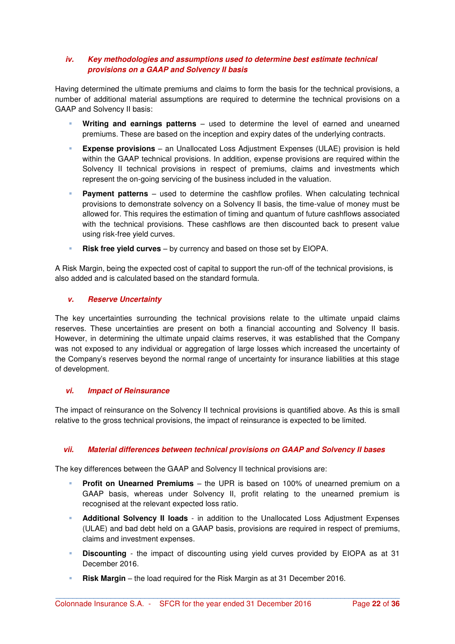#### *iv. Key methodologies and assumptions used to determine best estimate technical provisions on a GAAP and Solvency II basis*

Having determined the ultimate premiums and claims to form the basis for the technical provisions, a number of additional material assumptions are required to determine the technical provisions on a GAAP and Solvency II basis:

- **Writing and earnings patterns** used to determine the level of earned and unearned premiums. These are based on the inception and expiry dates of the underlying contracts.
- **Expense provisions** an Unallocated Loss Adjustment Expenses (ULAE) provision is held within the GAAP technical provisions. In addition, expense provisions are required within the Solvency II technical provisions in respect of premiums, claims and investments which represent the on-going servicing of the business included in the valuation.
- **Payment patterns** used to determine the cashflow profiles. When calculating technical provisions to demonstrate solvency on a Solvency II basis, the time-value of money must be allowed for. This requires the estimation of timing and quantum of future cashflows associated with the technical provisions. These cashflows are then discounted back to present value using risk-free yield curves.
- **Risk free yield curves** by currency and based on those set by EIOPA.

A Risk Margin, being the expected cost of capital to support the run-off of the technical provisions, is also added and is calculated based on the standard formula.

#### *v. Reserve Uncertainty*

The key uncertainties surrounding the technical provisions relate to the ultimate unpaid claims reserves. These uncertainties are present on both a financial accounting and Solvency II basis. However, in determining the ultimate unpaid claims reserves, it was established that the Company was not exposed to any individual or aggregation of large losses which increased the uncertainty of the Company's reserves beyond the normal range of uncertainty for insurance liabilities at this stage of development.

#### *vi. Impact of Reinsurance*

The impact of reinsurance on the Solvency II technical provisions is quantified above. As this is small relative to the gross technical provisions, the impact of reinsurance is expected to be limited.

### *vii. Material differences between technical provisions on GAAP and Solvency II bases*

The key differences between the GAAP and Solvency II technical provisions are:

- **Profit on Unearned Premiums** the UPR is based on 100% of unearned premium on a GAAP basis, whereas under Solvency II, profit relating to the unearned premium is recognised at the relevant expected loss ratio.
- **Additional Solvency II loads** in addition to the Unallocated Loss Adjustment Expenses (ULAE) and bad debt held on a GAAP basis, provisions are required in respect of premiums, claims and investment expenses.
- **Discounting** the impact of discounting using yield curves provided by EIOPA as at 31 December 2016.

**\_\_\_\_\_\_\_\_\_\_\_\_\_\_\_\_\_\_\_\_\_\_\_\_\_\_\_\_\_\_\_\_\_\_\_\_\_\_\_\_\_\_\_\_\_\_\_\_\_\_\_\_\_\_\_\_\_\_\_\_\_\_\_\_\_\_\_\_\_\_\_\_\_\_\_\_\_\_\_\_\_**

**Risk Margin** – the load required for the Risk Margin as at 31 December 2016.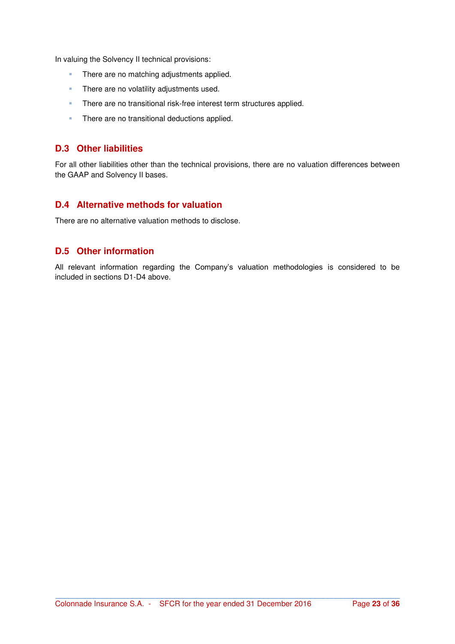In valuing the Solvency II technical provisions:

- **There are no matching adjustments applied.**
- **There are no volatility adjustments used.**
- **There are no transitional risk-free interest term structures applied.**
- **There are no transitional deductions applied.**

## **D.3 Other liabilities**

For all other liabilities other than the technical provisions, there are no valuation differences between the GAAP and Solvency II bases.

## **D.4 Alternative methods for valuation**

There are no alternative valuation methods to disclose.

## **D.5 Other information**

All relevant information regarding the Company's valuation methodologies is considered to be included in sections D1-D4 above.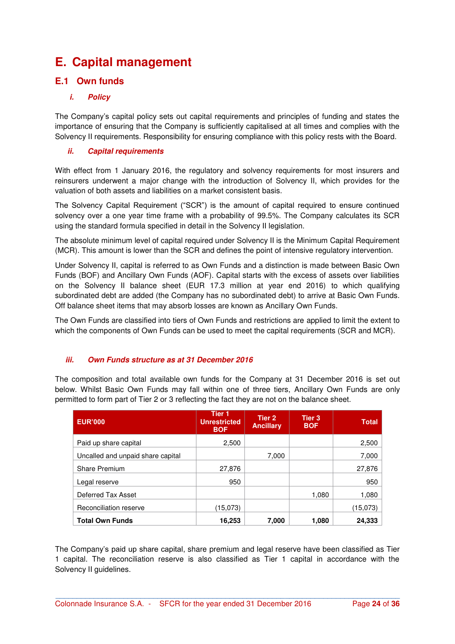## **E. Capital management**

## **E.1 Own funds**

## *i. Policy*

The Company's capital policy sets out capital requirements and principles of funding and states the importance of ensuring that the Company is sufficiently capitalised at all times and complies with the Solvency II requirements. Responsibility for ensuring compliance with this policy rests with the Board.

### *ii. Capital requirements*

With effect from 1 January 2016, the regulatory and solvency requirements for most insurers and reinsurers underwent a major change with the introduction of Solvency II, which provides for the valuation of both assets and liabilities on a market consistent basis.

The Solvency Capital Requirement ("SCR") is the amount of capital required to ensure continued solvency over a one year time frame with a probability of 99.5%. The Company calculates its SCR using the standard formula specified in detail in the Solvency II legislation.

The absolute minimum level of capital required under Solvency II is the Minimum Capital Requirement (MCR). This amount is lower than the SCR and defines the point of intensive regulatory intervention.

Under Solvency II, capital is referred to as Own Funds and a distinction is made between Basic Own Funds (BOF) and Ancillary Own Funds (AOF). Capital starts with the excess of assets over liabilities on the Solvency II balance sheet (EUR 17.3 million at year end 2016) to which qualifying subordinated debt are added (the Company has no subordinated debt) to arrive at Basic Own Funds. Off balance sheet items that may absorb losses are known as Ancillary Own Funds.

The Own Funds are classified into tiers of Own Funds and restrictions are applied to limit the extent to which the components of Own Funds can be used to meet the capital requirements (SCR and MCR).

### *iii. Own Funds structure as at 31 December 2016*

The composition and total available own funds for the Company at 31 December 2016 is set out below. Whilst Basic Own Funds may fall within one of three tiers, Ancillary Own Funds are only permitted to form part of Tier 2 or 3 reflecting the fact they are not on the balance sheet.

| <b>EUR'000</b>                    | Tier <sub>1</sub><br><b>Unrestricted</b><br><b>BOF</b> | Tier 2<br><b>Ancillary</b> | Tier <sub>3</sub><br><b>BOF</b> | <b>Total</b> |
|-----------------------------------|--------------------------------------------------------|----------------------------|---------------------------------|--------------|
| Paid up share capital             | 2,500                                                  |                            |                                 | 2,500        |
| Uncalled and unpaid share capital |                                                        | 7,000                      |                                 | 7,000        |
| <b>Share Premium</b>              | 27.876                                                 |                            |                                 | 27,876       |
| Legal reserve                     | 950                                                    |                            |                                 | 950          |
| Deferred Tax Asset                |                                                        |                            | 1,080                           | 1,080        |
| Reconciliation reserve            | (15,073)                                               |                            |                                 | (15,073)     |
| <b>Total Own Funds</b>            | 16,253                                                 | 7,000                      | 1,080                           | 24,333       |

The Company's paid up share capital, share premium and legal reserve have been classified as Tier 1 capital. The reconciliation reserve is also classified as Tier 1 capital in accordance with the Solvency II guidelines.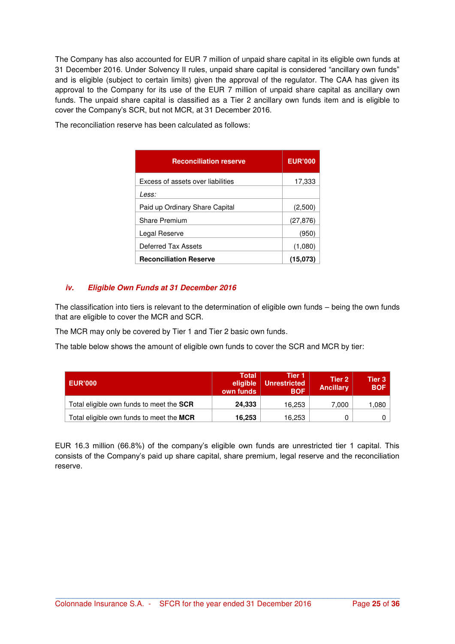The Company has also accounted for EUR 7 million of unpaid share capital in its eligible own funds at 31 December 2016. Under Solvency II rules, unpaid share capital is considered "ancillary own funds" and is eligible (subject to certain limits) given the approval of the regulator. The CAA has given its approval to the Company for its use of the EUR 7 million of unpaid share capital as ancillary own funds. The unpaid share capital is classified as a Tier 2 ancillary own funds item and is eligible to cover the Company's SCR, but not MCR, at 31 December 2016.

| <b>Reconciliation reserve</b>     | <b>EUR'000</b> |
|-----------------------------------|----------------|
| Excess of assets over liabilities | 17,333         |
| Less:                             |                |
| Paid up Ordinary Share Capital    | (2,500)        |
| <b>Share Premium</b>              | (27, 876)      |
| Legal Reserve                     | (950)          |
| Deferred Tax Assets               | (1,080)        |
| <b>Reconciliation Reserve</b>     | (15.073)       |

The reconciliation reserve has been calculated as follows:

#### *iv. Eligible Own Funds at 31 December 2016*

The classification into tiers is relevant to the determination of eligible own funds – being the own funds that are eligible to cover the MCR and SCR.

The MCR may only be covered by Tier 1 and Tier 2 basic own funds.

The table below shows the amount of eligible own funds to cover the SCR and MCR by tier:

| <b>EUR'000</b>                           | <b>Total</b><br>eligible<br>own funds | Tier 1<br>  Unrestricted<br><b>BOF</b> | Tier 2<br><b>Ancillary</b> | Tier $31$<br><b>BOF</b> |
|------------------------------------------|---------------------------------------|----------------------------------------|----------------------------|-------------------------|
| Total eligible own funds to meet the SCR | 24,333                                | 16.253                                 | 7.000                      | 1,080                   |
| Total eligible own funds to meet the MCR | 16,253                                | 16.253                                 |                            |                         |

EUR 16.3 million (66.8%) of the company's eligible own funds are unrestricted tier 1 capital. This consists of the Company's paid up share capital, share premium, legal reserve and the reconciliation reserve.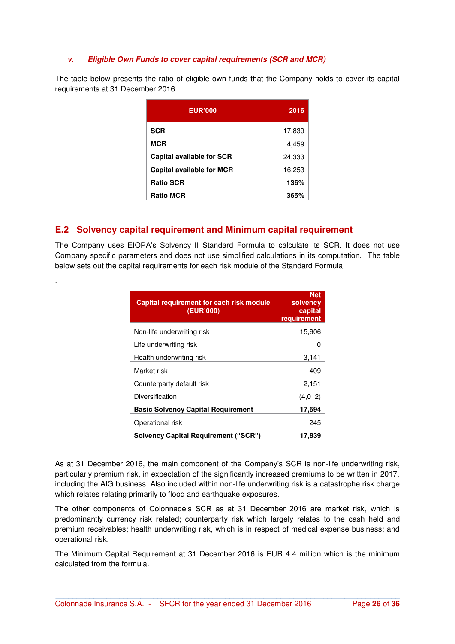#### *v. Eligible Own Funds to cover capital requirements (SCR and MCR)*

The table below presents the ratio of eligible own funds that the Company holds to cover its capital requirements at 31 December 2016.

| <b>EUR'000</b>                   | 2016   |
|----------------------------------|--------|
| <b>SCR</b>                       | 17,839 |
| <b>MCR</b>                       | 4,459  |
| <b>Capital available for SCR</b> | 24,333 |
| <b>Capital available for MCR</b> | 16,253 |
| <b>Ratio SCR</b>                 | 136%   |
| <b>Ratio MCR</b>                 | 365%   |

## **E.2 Solvency capital requirement and Minimum capital requirement**

.

The Company uses EIOPA's Solvency II Standard Formula to calculate its SCR. It does not use Company specific parameters and does not use simplified calculations in its computation. The table below sets out the capital requirements for each risk module of the Standard Formula.

| <b>Capital requirement for each risk module</b><br>(EUR'000) | <b>Net</b><br>solvency<br>capital<br>requirement |
|--------------------------------------------------------------|--------------------------------------------------|
| Non-life underwriting risk                                   | 15,906                                           |
| Life underwriting risk                                       | 0                                                |
| Health underwriting risk                                     | 3,141                                            |
| Market risk                                                  | 409                                              |
| Counterparty default risk                                    | 2,151                                            |
| Diversification                                              | (4,012)                                          |
| <b>Basic Solvency Capital Requirement</b>                    | 17,594                                           |
| Operational risk                                             | 245                                              |
| <b>Solvency Capital Requirement ("SCR")</b>                  | 17,839                                           |

As at 31 December 2016, the main component of the Company's SCR is non-life underwriting risk, particularly premium risk, in expectation of the significantly increased premiums to be written in 2017, including the AIG business. Also included within non-life underwriting risk is a catastrophe risk charge which relates relating primarily to flood and earthquake exposures.

The other components of Colonnade's SCR as at 31 December 2016 are market risk, which is predominantly currency risk related; counterparty risk which largely relates to the cash held and premium receivables; health underwriting risk, which is in respect of medical expense business; and operational risk.

The Minimum Capital Requirement at 31 December 2016 is EUR 4.4 million which is the minimum calculated from the formula.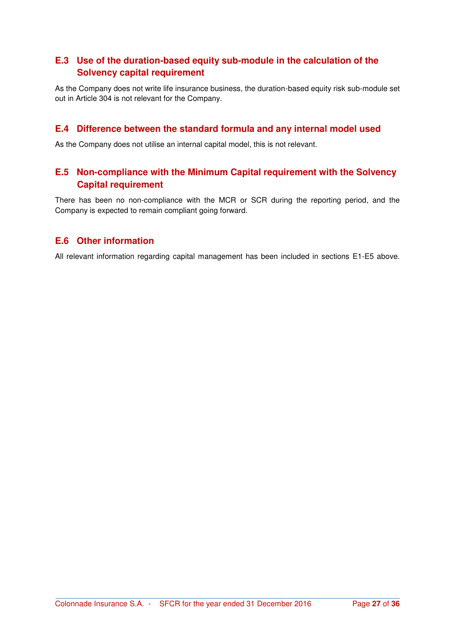## **E.3 Use of the duration-based equity sub-module in the calculation of the Solvency capital requirement**

As the Company does not write life insurance business, the duration-based equity risk sub-module set out in Article 304 is not relevant for the Company.

## **E.4 Difference between the standard formula and any internal model used**

As the Company does not utilise an internal capital model, this is not relevant.

## **E.5 Non-compliance with the Minimum Capital requirement with the Solvency Capital requirement**

There has been no non-compliance with the MCR or SCR during the reporting period, and the Company is expected to remain compliant going forward.

## **E.6 Other information**

All relevant information regarding capital management has been included in sections E1-E5 above.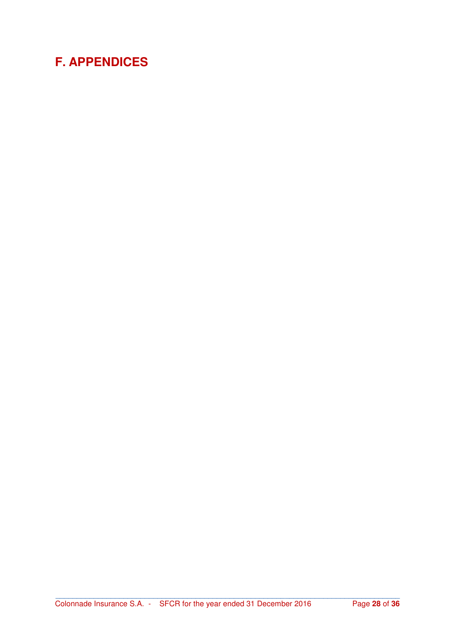## **F. APPENDICES**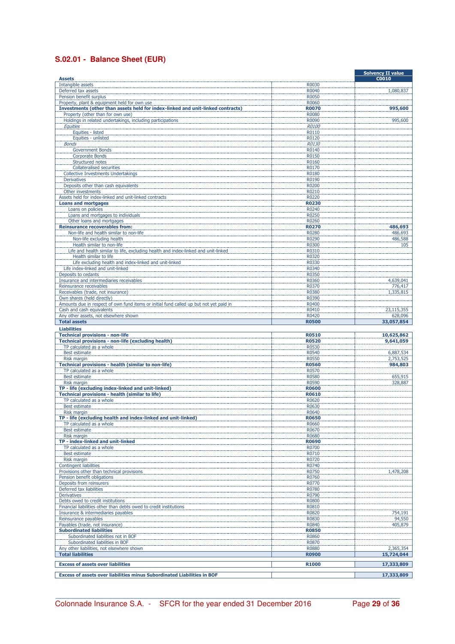## **S.02.01 - Balance Sheet (EUR)**

| <b>Assets</b>                                                                                                                   |                       | <b>Solvency II value</b><br><b>C0010</b> |
|---------------------------------------------------------------------------------------------------------------------------------|-----------------------|------------------------------------------|
| Intangible assets                                                                                                               | R0030                 |                                          |
| Deferred tax assets                                                                                                             | R0040                 | 1,080,837                                |
| Pension benefit surplus                                                                                                         | <b>R0050</b>          |                                          |
| Property, plant & equipment held for own use<br>Investments (other than assets held for index-linked and unit-linked contracts) | R0060<br><b>R0070</b> |                                          |
| Property (other than for own use)                                                                                               | R0080                 | 995,600                                  |
| Holdings in related undertakings, including participations                                                                      | R0090                 | 995,600                                  |
| Equities                                                                                                                        | R0100                 |                                          |
| Equities - listed                                                                                                               | R0110                 |                                          |
| Equities - unlisted<br><b>Bonds</b>                                                                                             | R0120<br><b>R0130</b> |                                          |
| Government Bonds                                                                                                                | R0140                 |                                          |
| <b>Corporate Bonds</b>                                                                                                          | R0150                 |                                          |
| Structured notes                                                                                                                | R0160                 |                                          |
| <b>Collateralised securities</b><br><b>Collective Investments Undertakings</b>                                                  | R0170<br>R0180        |                                          |
| <b>Derivatives</b>                                                                                                              | R0190                 |                                          |
| Deposits other than cash equivalents                                                                                            | R0200                 |                                          |
| Other investments                                                                                                               | R0210                 |                                          |
| Assets held for index-linked and unit-linked contracts                                                                          | R0220                 |                                          |
| <b>Loans and mortgages</b><br>Loans on policies                                                                                 | <b>R0230</b><br>R0240 |                                          |
| Loans and mortgages to individuals                                                                                              | R0250                 |                                          |
| Other loans and mortgages                                                                                                       | R0260                 |                                          |
| <b>Reinsurance recoverables from:</b>                                                                                           | <b>R0270</b>          | 486,693                                  |
| Non-life and health similar to non-life                                                                                         | R0280                 | 486,693                                  |
| Non-life excluding health<br>Health similar to non-life                                                                         | R0290<br>R0300        | 486,588<br>105                           |
| Life and health similar to life, excluding health and index-linked and unit-linked                                              | R0310                 |                                          |
| Health similar to life                                                                                                          | R0320                 |                                          |
| Life excluding health and index-linked and unit-linked                                                                          | R0330                 |                                          |
| Life index-linked and unit-linked<br>Deposits to cedants                                                                        | R0340<br>R0350        |                                          |
| Insurance and intermediaries receivables                                                                                        | R0360                 | 4,639,041                                |
| Reinsurance receivables                                                                                                         | R0370                 | 776,417                                  |
| Receivables (trade, not insurance)                                                                                              | R0380                 | 1,335,815                                |
| Own shares (held directly)                                                                                                      | R0390<br>R0400        |                                          |
| Amounts due in respect of own fund items or initial fund called up but not yet paid in<br>Cash and cash equivalents             | R0410                 | 23,115,355                               |
| Any other assets, not elsewhere shown                                                                                           | R0420                 | 628,096                                  |
| <b>Total assets</b>                                                                                                             | <b>R0500</b>          | 33,057,854                               |
| <b>Liabilities</b>                                                                                                              |                       |                                          |
|                                                                                                                                 |                       |                                          |
| <b>Technical provisions - non-life</b>                                                                                          | <b>R0510</b>          | 10,625,862                               |
| Technical provisions - non-life (excluding health)                                                                              | <b>R0520</b><br>R0530 | 9,641,059                                |
| TP calculated as a whole<br>Best estimate                                                                                       | R0540                 | 6,887,534                                |
| Risk margin                                                                                                                     | <b>R0550</b>          | 2,753,525                                |
| Technical provisions - health (similar to non-life)                                                                             | <b>R0560</b>          | 984,803                                  |
| TP calculated as a whole                                                                                                        | R0570                 |                                          |
| Best estimate<br><b>Risk margin</b>                                                                                             | <b>R0580</b><br>R0590 | 655,915<br>328,887                       |
| TP - life (excluding index-linked and unit-linked)                                                                              | <b>R0600</b>          |                                          |
| Technical provisions - health (similar to life)                                                                                 | <b>R0610</b>          |                                          |
| TP calculated as a whole                                                                                                        | R0620                 |                                          |
| <b>Best estimate</b><br><b>Risk margin</b>                                                                                      | R0630<br>R0640        |                                          |
| TP - life (excluding health and index-linked and unit-linked)                                                                   | <b>R0650</b>          |                                          |
| TP calculated as a whole                                                                                                        | R0660                 |                                          |
| Best estimate                                                                                                                   | R0670                 |                                          |
| Risk margin                                                                                                                     | R0680                 |                                          |
| TP - index-linked and unit-linked<br>TP calculated as a whole                                                                   | <b>R0690</b><br>R0700 |                                          |
| Best estimate                                                                                                                   | R0710                 |                                          |
| Risk margin                                                                                                                     | R0720                 |                                          |
| <b>Contingent liabilities</b>                                                                                                   | R0740                 |                                          |
| Provisions other than technical provisions<br>Pension benefit obligations                                                       | R0750<br>R0760        | 1,478,208                                |
| Deposits from reinsurers                                                                                                        | R0770                 |                                          |
| Deferred tax liabilities                                                                                                        | R0780                 |                                          |
| <b>Derivatives</b>                                                                                                              | R0790                 |                                          |
| Debts owed to credit institutions<br>Financial liabilities other than debts owed to credit institutions                         | R0800<br>R0810        |                                          |
| Insurance & intermediaries payables                                                                                             | R0820                 | 754,191                                  |
| Reinsurance payables                                                                                                            | R0830                 | 94,550                                   |
| Payables (trade, not insurance)                                                                                                 | R0840                 | 405,879                                  |
| <b>Subordinated liabilities</b><br>Subordinated liabilities not in BOF                                                          | <b>R0850</b>          |                                          |
| Subordinated liabilities in BOF                                                                                                 | R0860<br>R0870        |                                          |
| Any other liabilities, not elsewhere shown                                                                                      | R0880                 | 2,365,354                                |
| <b>Total liabilities</b>                                                                                                        | <b>R0900</b>          | 15,724,044                               |
| <b>Excess of assets over liabilities</b>                                                                                        | <b>R1000</b>          | 17,333,809                               |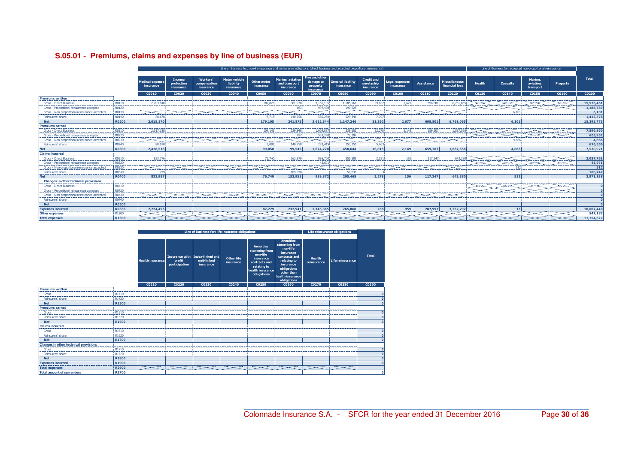|                                               |                                            | Line of Business for: non-life insurance and reinsurance obligations (direct business and accepted proportional reinsurance)        |                                          |                                      |                                                |                                 |                                                |                                                             |                                         |                                              | Line of Business for: accepted non-proportional reinsurance |                   |                                        |                                           |                               |                                   |                                                                                                                                                                                                                                                  |              |
|-----------------------------------------------|--------------------------------------------|-------------------------------------------------------------------------------------------------------------------------------------|------------------------------------------|--------------------------------------|------------------------------------------------|---------------------------------|------------------------------------------------|-------------------------------------------------------------|-----------------------------------------|----------------------------------------------|-------------------------------------------------------------|-------------------|----------------------------------------|-------------------------------------------|-------------------------------|-----------------------------------|--------------------------------------------------------------------------------------------------------------------------------------------------------------------------------------------------------------------------------------------------|--------------|
|                                               |                                            |                                                                                                                                     |                                          |                                      |                                                |                                 |                                                |                                                             |                                         |                                              |                                                             |                   |                                        |                                           |                               |                                   |                                                                                                                                                                                                                                                  |              |
|                                               |                                            | <b>dedical expense</b><br>insurance                                                                                                 | <b>Income</b><br>protection<br>insurance | Workers<br>compensation<br>insurance | <b>Motor vehicle</b><br>liability<br>insurance | <b>Other motor</b><br>insurance | Marine, aviation<br>and transport<br>insurance | <b>Fire and other</b><br>damage to<br>property<br>insurance | General liability<br>insurance          | <b>Credit and</b><br>suretyship<br>insurance | <b>Legal expenses</b><br>insurance                          | Assistance        | <b>Miscellaneous</b><br>financial loss | <b>Health</b>                             | Casualty                      | Marine.<br>aviation.<br>transport | Property                                                                                                                                                                                                                                         | <b>Total</b> |
|                                               |                                            | CO <sub>010</sub>                                                                                                                   | C0020                                    | C0030                                | C0040                                          | <b>C0050</b>                    | <b>COO60</b>                                   | <b>C0070</b>                                                | C0080                                   | C0090                                        | C0100                                                       | CO <sub>110</sub> | C0120                                  | C0130                                     | CO <sub>140</sub>             | C0150                             | C0160                                                                                                                                                                                                                                            | C0200        |
| <b>Premiums written</b>                       |                                            | . <u>.</u>                                                                                                                          |                                          |                                      |                                                | .                               | ---------------                                | .                                                           | -----------                             |                                              |                                                             |                   |                                        |                                           |                               |                                   |                                                                                                                                                                                                                                                  |              |
| <b>Gross - Direct Business</b>                | R0110                                      | 2,703.84<br>--------------                                                                                                          |                                          |                                      |                                                | 187.82                          | 381.97<br>--------------------------------     | 3.165.135<br>------------                                   | 1,585,964<br>.                          | 39.18                                        |                                                             |                   | 6.761.06                               |                                           |                               |                                   |                                                                                                                                                                                                                                                  | 15,526,461   |
| Gross - Proportional reinsurance accepted     | R0120                                      |                                                                                                                                     |                                          |                                      |                                                |                                 |                                                | 997,498<br>--------                                         | 190,628<br>-----------                  |                                              |                                                             |                   |                                        |                                           |                               |                                   |                                                                                                                                                                                                                                                  | 1,188,789    |
| Gross - Non-proportional reinsurance accepted | R0130                                      |                                                                                                                                     |                                          |                                      |                                                |                                 |                                                | -----------                                                 | ----------                              |                                              |                                                             |                   |                                        |                                           |                               |                                   |                                                                                                                                                                                                                                                  | 6,101        |
| Reinsurers' share                             | R0140                                      | 88,670                                                                                                                              |                                          |                                      |                                                | 8,718                           | 140.758                                        | 550,289                                                     | 629,346                                 | 7.797                                        |                                                             |                   |                                        |                                           |                               |                                   |                                                                                                                                                                                                                                                  | 1,425,578    |
| <b>Net</b>                                    | <b>R0200</b>                               | 2.615.170                                                                                                                           |                                          |                                      |                                                | 179.105                         | 241.875                                        | 3,612,344                                                   | 1.147.246                               | 31,390                                       | 2.677                                                       | 698.801           | 6.761.065                              |                                           | 6.101                         |                                   |                                                                                                                                                                                                                                                  | 15,295,773   |
| Premiums earned                               |                                            |                                                                                                                                     |                                          |                                      |                                                |                                 |                                                |                                                             |                                         |                                              |                                                             |                   |                                        |                                           | ----------------------------- |                                   |                                                                                                                                                                                                                                                  |              |
| <b>Gross - Direct Business</b>                |                                            | 2.517.18                                                                                                                            |                                          |                                      |                                                | 104.14                          |                                                | 1.624.887                                                   | 539.60<br>----------------------------- |                                              |                                                             |                   |                                        |                                           |                               |                                   |                                                                                                                                                                                                                                                  | 7,596,860    |
| Gross - Proportional reinsurance accepted     | <b>R0220</b>                               |                                                                                                                                     |                                          |                                      |                                                |                                 |                                                | 533,298                                                     | 72,197                                  |                                              |                                                             |                   |                                        |                                           |                               |                                   |                                                                                                                                                                                                                                                  | 605,952      |
|                                               | R0230                                      |                                                                                                                                     |                                          |                                      |                                                |                                 |                                                |                                                             |                                         |                                              |                                                             |                   |                                        |                                           |                               |                                   |                                                                                                                                                                                                                                                  | 4,666        |
| Reinsurers' share                             | R0240                                      | 88.67                                                                                                                               |                                          |                                      |                                                | 5.095                           | 140.758                                        | 283,415                                                     | 153,155                                 | 5.463                                        |                                                             |                   |                                        |                                           |                               |                                   |                                                                                                                                                                                                                                                  | 676,556      |
| <b>Net</b>                                    | <b>R0300</b>                               | 2.428.518                                                                                                                           |                                          |                                      |                                                | 99.050                          | 99.545                                         | 1.874.770                                                   | 458.644                                 | 16,815                                       | 2.149                                                       | 659.207           | 1.887.556                              |                                           | 4.666                         |                                   |                                                                                                                                                                                                                                                  | 7,530,921    |
| <b>Claims incurred</b>                        |                                            |                                                                                                                                     |                                          |                                      |                                                | ,,,,,,,,,,,,,,,,,               | ----------------                               | ---------                                                   | -----------                             |                                              | ,,,,,,,,,,,,,,,,,,,,,,,,,,,,,,,,,,,                         |                   |                                        |                                           |                               |                                   |                                                                                                                                                                                                                                                  |              |
| <b>Gross - Direct Business</b>                |                                            | 833.7                                                                                                                               |                                          |                                      |                                                | 76.74                           |                                                | 895.70                                                      | 255.50                                  |                                              |                                                             |                   |                                        |                                           |                               |                                   | <b><i><u>The members of the contract of the contract of the contract of the contract of the contract of the contract of the contract of the contract of the contract of the contract of the contract of the contract of the contract</u></i></b> | 3,087,761    |
| Gross - Proportional reinsurance accepted     | <b>R0320</b>                               |                                                                                                                                     |                                          |                                      |                                                |                                 |                                                | 43.67<br>_______                                            |                                         |                                              |                                                             |                   |                                        |                                           |                               |                                   |                                                                                                                                                                                                                                                  | 43,671       |
| Gross - Non-proportional reinsurance accepted | R0330                                      | <b><i>Charles Committee Committee Committee Committee Committee Committee Committee Committee Committee Committee Committee</i></b> |                                          |                                      |                                                |                                 |                                                |                                                             |                                         |                                              |                                                             |                   |                                        |                                           |                               |                                   |                                                                                                                                                                                                                                                  | 512          |
| Reinsurers' share                             | R0340                                      |                                                                                                                                     |                                          |                                      |                                                |                                 | 109.92                                         |                                                             | 50,036                                  |                                              |                                                             |                   |                                        |                                           |                               |                                   |                                                                                                                                                                                                                                                  | 160,747      |
|                                               | <b>R0400</b>                               | 832.997                                                                                                                             |                                          |                                      |                                                | 76,740                          | 152.951                                        | 939.372                                                     | 205,465                                 | 2.278                                        | 156                                                         | 117.347           | 643,380                                |                                           | 512                           |                                   |                                                                                                                                                                                                                                                  | 2.971.198    |
| Changes in other technical provisions         | <b><i><u>International Control</u></i></b> |                                                                                                                                     |                                          |                                      |                                                |                                 |                                                |                                                             |                                         |                                              |                                                             |                   |                                        |                                           |                               |                                   |                                                                                                                                                                                                                                                  |              |
| Gross - Direct Business                       | R0410                                      |                                                                                                                                     |                                          |                                      |                                                |                                 |                                                |                                                             |                                         |                                              |                                                             |                   |                                        | <b><i><u> Louiseauxeauxeauxea</u></i></b> | ----------                    | ----------                        | ----------                                                                                                                                                                                                                                       |              |
| Gross - Proportional reinsurance accepted     | R0420                                      |                                                                                                                                     |                                          |                                      |                                                |                                 |                                                |                                                             |                                         |                                              |                                                             |                   |                                        |                                           |                               |                                   |                                                                                                                                                                                                                                                  |              |
| Gross - Non-proportional reinsurance accepted | R0430<br>da ananana amin'ny                |                                                                                                                                     |                                          |                                      |                                                |                                 |                                                |                                                             |                                         |                                              |                                                             |                   |                                        |                                           |                               |                                   |                                                                                                                                                                                                                                                  |              |
| Reinsurers' share                             | R0440                                      |                                                                                                                                     |                                          |                                      |                                                |                                 |                                                |                                                             |                                         |                                              |                                                             |                   |                                        |                                           |                               |                                   |                                                                                                                                                                                                                                                  |              |
| <b>Net</b>                                    | <b>R0500</b>                               |                                                                                                                                     |                                          |                                      |                                                |                                 |                                                |                                                             |                                         |                                              |                                                             |                   |                                        |                                           |                               |                                   |                                                                                                                                                                                                                                                  |              |
| <b>Expenses incurred</b><br>                  | <b>R0550</b>                               | 2,724,456                                                                                                                           |                                          |                                      |                                                | 87.279                          | 232,941                                        | 3,145,365                                                   | 765,868                                 | 268                                          | 959                                                         | 287,997           | 3,362,292                              |                                           | 13                            |                                   |                                                                                                                                                                                                                                                  | 10,607,440   |
| <b>Other expenses</b>                         | R1200                                      |                                                                                                                                     |                                          |                                      |                                                |                                 |                                                |                                                             |                                         |                                              |                                                             |                   |                                        |                                           |                               |                                   |                                                                                                                                                                                                                                                  | 547.182      |
| <b>Total expenses</b>                         | R1300                                      |                                                                                                                                     |                                          |                                      |                                                |                                 |                                                |                                                             |                                         |                                              |                                                             |                   |                                        |                                           |                               |                                   |                                                                                                                                                                                                                                                  | 11.154.622   |

## **S.05.01 - Premiums, claims and expenses by line of business (EUR)**

|                                              |       | Line of Business for: life insurance obligations |                         |                                                             |                         |                                                                                                                               |                                                                                                                                                                         | Life reinsurance obligations |                  |              |              |
|----------------------------------------------|-------|--------------------------------------------------|-------------------------|-------------------------------------------------------------|-------------------------|-------------------------------------------------------------------------------------------------------------------------------|-------------------------------------------------------------------------------------------------------------------------------------------------------------------------|------------------------------|------------------|--------------|--------------|
|                                              |       | <b>Health insurance</b>                          | profit<br>participation | Insurance with Index-linked and<br>unit-linked<br>insurance | Other life<br>insurance | <b>Annuities</b><br>stemming from<br>non-life<br>insurance<br>contracts and<br>relating to<br>health insurance<br>obligations | <b>Annuities</b><br>stemming from<br>non-life<br>insurance<br>contracts and<br>relating to<br>insurance<br>obligations<br>other than<br>health insurance<br>obligations | <b>Health</b><br>reinsurance | Life reinsurance | <b>Total</b> |              |
|                                              |       | C0210                                            | C0220                   | C0230                                                       | C0240                   | C0250                                                                                                                         | C0260                                                                                                                                                                   | C0270                        | C0280            | C0300        |              |
| <b>Premiums written</b>                      |       |                                                  |                         |                                                             |                         |                                                                                                                               |                                                                                                                                                                         |                              |                  |              |              |
| Gross                                        | R1410 |                                                  |                         |                                                             |                         |                                                                                                                               |                                                                                                                                                                         |                              |                  |              |              |
| Reinsurers' share                            | R1420 |                                                  |                         |                                                             |                         |                                                                                                                               |                                                                                                                                                                         |                              |                  |              |              |
| <b>Net</b>                                   | R1500 |                                                  |                         |                                                             |                         |                                                                                                                               |                                                                                                                                                                         |                              |                  |              |              |
| <b>Premiums earned</b>                       |       |                                                  |                         |                                                             |                         |                                                                                                                               |                                                                                                                                                                         |                              |                  |              |              |
| Gross                                        | R1510 |                                                  |                         |                                                             |                         |                                                                                                                               |                                                                                                                                                                         |                              |                  |              |              |
| Reinsurers' share                            | R1520 |                                                  |                         |                                                             |                         |                                                                                                                               |                                                                                                                                                                         |                              |                  |              |              |
| <b>Net</b>                                   | R1600 |                                                  |                         |                                                             |                         |                                                                                                                               |                                                                                                                                                                         |                              |                  |              |              |
| <b>Claims incurred</b>                       |       |                                                  |                         |                                                             |                         |                                                                                                                               |                                                                                                                                                                         |                              |                  |              |              |
| Gross                                        | R1610 |                                                  |                         |                                                             |                         |                                                                                                                               |                                                                                                                                                                         |                              |                  |              |              |
| Reinsurers' share                            | R1620 |                                                  |                         |                                                             |                         |                                                                                                                               |                                                                                                                                                                         |                              |                  |              |              |
| <b>Net</b>                                   | R1700 |                                                  |                         |                                                             |                         |                                                                                                                               |                                                                                                                                                                         |                              |                  |              |              |
| <b>Changes in other technical provisions</b> |       |                                                  |                         |                                                             |                         |                                                                                                                               |                                                                                                                                                                         |                              |                  |              |              |
| $\overline{\phantom{a}}$ Gross               | R1710 |                                                  |                         |                                                             |                         |                                                                                                                               |                                                                                                                                                                         |                              |                  |              |              |
| Reinsurers' share                            | R1720 |                                                  |                         |                                                             |                         |                                                                                                                               |                                                                                                                                                                         |                              |                  |              |              |
| <b>Net</b>                                   | R1800 |                                                  |                         |                                                             |                         |                                                                                                                               |                                                                                                                                                                         |                              |                  |              |              |
| <b>Expenses incurred</b>                     | R1900 |                                                  |                         |                                                             |                         |                                                                                                                               |                                                                                                                                                                         |                              |                  |              |              |
| <b>Total expenses</b>                        | R2600 |                                                  |                         |                                                             |                         |                                                                                                                               |                                                                                                                                                                         |                              |                  |              |              |
| <b>Total amount of surrenders</b>            | R2700 |                                                  |                         |                                                             |                         |                                                                                                                               |                                                                                                                                                                         |                              |                  |              | $\mathbf{0}$ |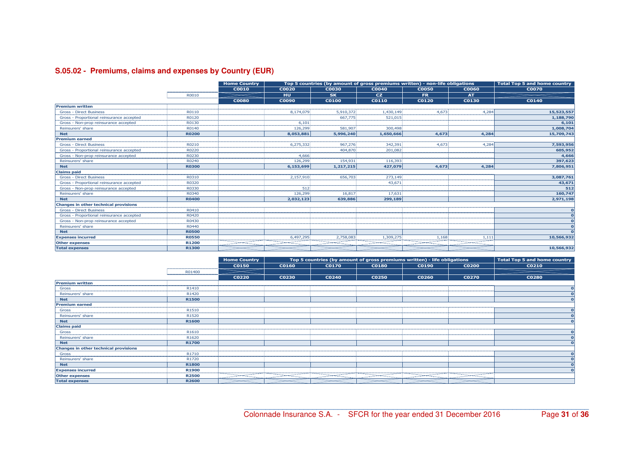## **S.05.02 - Premiums, claims and expenses by Country (EUR)**

|                                              |                                      | <b>Home Country</b> | Top 5 countries (by amount of gross premiums written) - non-life obligations<br><b>Total Top 5 and home country</b> |                                   |           |              |              |              |  |  |  |
|----------------------------------------------|--------------------------------------|---------------------|---------------------------------------------------------------------------------------------------------------------|-----------------------------------|-----------|--------------|--------------|--------------|--|--|--|
|                                              | ,,,,,,,,,,,,,,,,,,,,,,,,,,,,,,,,,,,, | <b>C0010</b>        | <b>C0020</b>                                                                                                        | C0030                             | C0040     | <b>C0050</b> | <b>C0060</b> | <b>C0070</b> |  |  |  |
|                                              | R0010                                |                     | HU                                                                                                                  | <b>SK</b>                         | <b>CZ</b> | <b>FR</b>    | <b>AT</b>    |              |  |  |  |
|                                              |                                      | <b>C0080</b>        | <b>C0090</b>                                                                                                        | <b>C0100</b>                      | C0110     | C0120        | C0130        | C0140        |  |  |  |
| <b>Premium written</b>                       |                                      |                     |                                                                                                                     |                                   |           |              |              |              |  |  |  |
| <b>Gross - Direct Business</b>               | R0110                                |                     | 8.174.079                                                                                                           | 5,910,372                         | 1,430,149 | 4.673        | 4,284        | 15,523,557   |  |  |  |
| Gross - Proportional reinsurance accepted    | R0120                                |                     |                                                                                                                     | 667.775                           | 521,015   |              |              | 1,188,790    |  |  |  |
| Gross - Non-prop reinsurance accepted        | R0130                                |                     | 6.101                                                                                                               |                                   |           |              |              | 6,101        |  |  |  |
| Reinsurers' share                            | R0140                                |                     | 126,299                                                                                                             | 581,907                           | 300,498   |              |              | 1,008,704    |  |  |  |
| <b>Net</b>                                   | <b>R0200</b>                         |                     | 8.053.881                                                                                                           | 5.996.240                         | 1,650,666 | 4.673        | 4.284        | 15,709,743   |  |  |  |
| <b>Premium earned</b>                        |                                      |                     |                                                                                                                     |                                   |           |              |              |              |  |  |  |
| <b>Gross - Direct Business</b>               | R0210                                |                     | 6.275.332                                                                                                           | 967,276                           | 342,391   | 4.673        | 4,284        | 7,593,956    |  |  |  |
| Gross - Proportional reinsurance accepted    | R0220                                |                     |                                                                                                                     | 404,870                           | 201,082   |              |              | 605,952      |  |  |  |
| Gross - Non-prop reinsurance accepted        | R0230                                |                     | 4.666                                                                                                               |                                   |           |              |              | 4,666        |  |  |  |
| Reinsurers' share                            | R0240                                |                     | 126,299                                                                                                             | 154,931                           | 116,393   |              |              | 397,623      |  |  |  |
| <b>Net</b>                                   | <b>R0300</b>                         |                     | 6,153,699                                                                                                           | 1.217.215                         | 427.079   | 4.673        | 4.284        | 7,806,951    |  |  |  |
| <b>Claims paid</b>                           |                                      |                     |                                                                                                                     |                                   |           |              |              |              |  |  |  |
| <b>Gross - Direct Business</b>               | R0310                                |                     | 2.157.910                                                                                                           | 656,70                            | 273,149   |              |              | 3,087,761    |  |  |  |
| Gross - Proportional reinsurance accepted    | R0320                                |                     |                                                                                                                     |                                   | 43.67     |              |              | 43,671       |  |  |  |
| Gross - Non-prop reinsurance accepted        | R0330                                |                     |                                                                                                                     |                                   |           |              |              | 512          |  |  |  |
| Reinsurers' share                            | R0340                                |                     | 126,299                                                                                                             | 16,817                            | 17,631    |              |              | 160,747      |  |  |  |
| <b>Net</b>                                   | <b>R0400</b>                         |                     | 2,032,123                                                                                                           | 639,886                           | 299,189   |              |              | 2,971,198    |  |  |  |
| <b>Changes in other technical provisions</b> |                                      |                     |                                                                                                                     | --------------------------------- |           |              |              |              |  |  |  |
| <b>Gross - Direct Business</b>               | R0410                                |                     |                                                                                                                     |                                   |           |              |              |              |  |  |  |
| Gross - Proportional reinsurance accepted    | R0420                                |                     |                                                                                                                     |                                   |           |              |              |              |  |  |  |
| Gross - Non-prop reinsurance accepted        | R0430                                |                     |                                                                                                                     |                                   |           |              |              |              |  |  |  |
| Reinsurers' share                            | R0440                                |                     |                                                                                                                     |                                   |           |              |              |              |  |  |  |
| <b>Net</b>                                   | <b>R0500</b>                         |                     |                                                                                                                     |                                   |           |              |              |              |  |  |  |
| <b>Expenses incurred</b>                     | <b>R0550</b>                         |                     | 6,497,295                                                                                                           | 2,758,083                         | 1,309,275 | 1,168        | 1,111        | 10,566,932   |  |  |  |
| <b>Other expenses</b>                        | R1200                                |                     |                                                                                                                     |                                   |           |              |              |              |  |  |  |
| <b>Total expenses</b>                        | R1300                                |                     |                                                                                                                     |                                   |           |              |              | 10,566,932   |  |  |  |

|                                              |                                    | <b>Home Country</b> |                                | Top 5 countries (by amount of gross premiums written) - life obligations |                                       |                                     |                               | <b>Total Top 5 and home country</b> |
|----------------------------------------------|------------------------------------|---------------------|--------------------------------|--------------------------------------------------------------------------|---------------------------------------|-------------------------------------|-------------------------------|-------------------------------------|
|                                              | ---------------------------------- | <b>C0150</b>        | <b>C0160</b>                   | <b>C0170</b>                                                             | <b>C0180</b>                          | C0190                               | <b>C0200</b>                  | <b>C0210</b>                        |
|                                              | R01400<br>,,,,,,,,,,,,,,,,,,,,,,,  |                     |                                |                                                                          |                                       |                                     |                               |                                     |
|                                              |                                    | <b>C0220</b>        | C0230                          | C0240                                                                    | <b>C0250</b>                          | C0260                               | <b>C0270</b>                  | <b>C0280</b>                        |
| <b>Premium written</b>                       |                                    |                     |                                |                                                                          |                                       |                                     |                               |                                     |
| Gross                                        | R1410                              |                     |                                |                                                                          |                                       |                                     |                               |                                     |
| Reinsurers' share                            | R1420                              |                     |                                |                                                                          |                                       |                                     |                               |                                     |
| <b>Net</b>                                   | <b>R1500</b>                       |                     |                                |                                                                          |                                       |                                     |                               |                                     |
| <b>Premium earned</b>                        |                                    |                     |                                |                                                                          |                                       |                                     |                               |                                     |
| Gross                                        | R1510                              |                     |                                |                                                                          |                                       |                                     |                               |                                     |
| Reinsurers' share                            | R1520                              |                     |                                |                                                                          |                                       |                                     |                               |                                     |
| <b>Net</b>                                   | <b>R1600</b>                       |                     |                                |                                                                          |                                       |                                     |                               |                                     |
| <b>Claims paid</b>                           |                                    |                     |                                | -----------------------------------                                      | ------------------------------------- | ----------------------------------- | ----------------------------- |                                     |
| Gross                                        | R1610                              |                     |                                |                                                                          | ------------------------------        | ------------------                  |                               |                                     |
| Reinsurers' share                            | R1620                              |                     |                                |                                                                          |                                       |                                     |                               |                                     |
| <b>Net</b>                                   | <b>R1700</b>                       |                     |                                |                                                                          |                                       |                                     |                               |                                     |
| <b>Changes in other technical provisions</b> | --------<br>-------------          |                     |                                | -----------------------------------                                      |                                       |                                     | --------------------------    |                                     |
| Gross                                        | R1710                              |                     |                                |                                                                          | --------------------------------      |                                     |                               |                                     |
| Reinsurers' share                            | R1720                              |                     |                                |                                                                          |                                       |                                     |                               |                                     |
| <b>Net</b>                                   | <b>R1800</b>                       |                     |                                |                                                                          |                                       |                                     |                               |                                     |
| <b>Expenses incurred</b>                     | R1900                              |                     | ------------------------------ | --------------------------                                               | ---------------------                 |                                     |                               |                                     |
| <b>Other expenses</b>                        | <b>R2500</b>                       |                     |                                |                                                                          |                                       |                                     |                               |                                     |
| <b>Total expenses</b>                        | <b>R2600</b>                       |                     |                                |                                                                          |                                       |                                     |                               |                                     |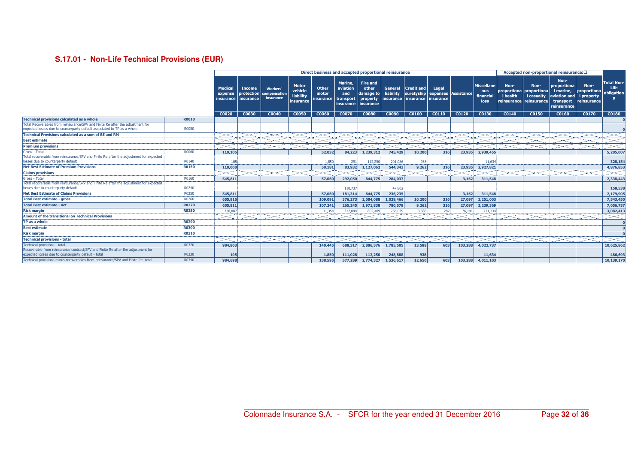## **S.17.01 - Non-Life Technical Provisions (EUR)**

|                                                                                                                                                           |              |                                        |                                                 |                                                     |                                            |                             |                                                            | Direct business and accepted proportional reinsurance                   |                                   |                                                 |                                           |         |                                        |                                                                                   |                    | Accepted non-proportional reinsurance: 0                                     |                                                  |                                                |
|-----------------------------------------------------------------------------------------------------------------------------------------------------------|--------------|----------------------------------------|-------------------------------------------------|-----------------------------------------------------|--------------------------------------------|-----------------------------|------------------------------------------------------------|-------------------------------------------------------------------------|-----------------------------------|-------------------------------------------------|-------------------------------------------|---------|----------------------------------------|-----------------------------------------------------------------------------------|--------------------|------------------------------------------------------------------------------|--------------------------------------------------|------------------------------------------------|
|                                                                                                                                                           |              | <b>Medical</b><br>expense<br>insurance | <b>Income</b><br>protection<br><i>insurance</i> | <b>Workers'</b><br><b>Compensation</b><br>insurance | Motor<br>vehicle<br>liability<br>insurance | Other<br>motor<br>insurance | <b>Marine</b><br>aviation<br>and<br>transport<br>insurance | <b>Fire and</b><br>other<br>damage to<br>property<br><b>l</b> insurance | General<br>liability<br>insurance | $ C$ redit and $ $<br>suretyship<br>  insurance | Legal<br>expenses Assistance<br>insurance |         | Miscellane<br>ous<br>financial<br>loss | Non-<br>proportiona proportiona<br><b>I</b> health<br>  reinsurance   reinsurance | Non-<br>I casualty | Non-<br>proportiona<br>I marine,<br>aviation and<br>transport<br>reinsurance | Non-<br>proportiona<br>I property<br>reinsurance | <b>Total Non-</b><br><b>Life</b><br>obligation |
|                                                                                                                                                           |              | C0020                                  | C0030                                           | C0040                                               | <b>C0050</b>                               | C0060                       | C0070                                                      | <b>C0080</b>                                                            | C0090                             | C0100                                           | C0110                                     | C0120   | C0130                                  | C0140                                                                             | C0150              | C0160                                                                        | C0170                                            | C0180                                          |
| <b>Technical provisions calculated as a whole</b>                                                                                                         | <b>R0010</b> |                                        |                                                 |                                                     |                                            |                             |                                                            |                                                                         |                                   |                                                 |                                           |         |                                        |                                                                                   |                    |                                                                              |                                                  |                                                |
| Total Recoverables from reinsurance/SPV and Finite Re after the adjustment for<br>expected losses due to counterparty default associated to TP as a whole | R0050        |                                        |                                                 |                                                     |                                            |                             |                                                            |                                                                         |                                   |                                                 |                                           |         |                                        |                                                                                   |                    |                                                                              |                                                  |                                                |
| <b>Technical Provisions calculated as a sum of BE and RM</b>                                                                                              |              |                                        |                                                 |                                                     |                                            |                             |                                                            |                                                                         |                                   |                                                 |                                           |         |                                        |                                                                                   |                    |                                                                              |                                                  |                                                |
| <b>Best estimate</b>                                                                                                                                      |              |                                        |                                                 |                                                     |                                            |                             |                                                            |                                                                         |                                   |                                                 |                                           |         |                                        |                                                                                   |                    |                                                                              |                                                  |                                                |
| <b>Premium provisions</b>                                                                                                                                 |              |                                        |                                                 |                                                     |                                            |                             |                                                            |                                                                         |                                   |                                                 |                                           |         |                                        |                                                                                   |                    |                                                                              |                                                  |                                                |
| Gross - Total                                                                                                                                             | R0060        | 110,105                                |                                                 |                                                     |                                            | 52.032                      | 84,223                                                     | 1,239,312                                                               | 745,429                           | 10,200                                          | 316                                       | 23,935  | 2,939,455                              |                                                                                   |                    |                                                                              |                                                  | 5,205,007                                      |
| Total recoverable from reinsurance/SPV and Finite Re after the adjustment for expected<br>losses due to counterparty default                              | R0140        | 105                                    |                                                 |                                                     |                                            | 1.850                       | 291                                                        | 112,250                                                                 | 201,086                           | 93                                              |                                           |         | 11,634                                 |                                                                                   |                    |                                                                              |                                                  | 328,154                                        |
| <b>Net Best Estimate of Premium Provisions</b>                                                                                                            | <b>R0150</b> | 110,000                                |                                                 |                                                     |                                            | 50.181                      | 83,932                                                     | 1,127,062                                                               | 544,343                           | 9.262                                           | 316                                       | 23,935  | 2,927,821                              |                                                                                   |                    |                                                                              |                                                  | 4,876,853                                      |
| <b>Claims provisions</b>                                                                                                                                  |              |                                        |                                                 |                                                     |                                            |                             |                                                            |                                                                         |                                   |                                                 |                                           |         |                                        |                                                                                   |                    |                                                                              |                                                  |                                                |
| Gross - Total                                                                                                                                             | R0160        | 545,811                                |                                                 |                                                     |                                            | 57,060                      | 292,050                                                    | 844,775                                                                 | 284,037                           |                                                 |                                           | 3,162   | 311,548                                |                                                                                   |                    |                                                                              |                                                  | 2,338,443                                      |
| Total recoverable from reinsurance/SPV and Finite Re after the adjustment for expected<br>losses due to counterparty default                              | R0240        |                                        |                                                 |                                                     |                                            |                             | 110,737                                                    |                                                                         | 47,802                            |                                                 |                                           |         |                                        |                                                                                   |                    |                                                                              |                                                  | 158,538                                        |
| <b>Net Best Estimate of Claims Provisions</b>                                                                                                             | R0250        | 545,811                                |                                                 |                                                     |                                            | 57,060                      | 181,314                                                    | 844,775                                                                 | 236,235                           |                                                 |                                           | 3.162   | 311,548                                |                                                                                   |                    |                                                                              |                                                  | 2,179,905                                      |
| <b>Total Best estimate - gross</b>                                                                                                                        | R0260        | 655,916                                |                                                 |                                                     |                                            | 109,091                     | 376,273                                                    | 2,084,088                                                               | 1,029,466                         | 10,200                                          | 316                                       | 27,097  | 3,251,003                              |                                                                                   |                    |                                                                              |                                                  | 7,543,450                                      |
| <b>Total Best estimate - net</b>                                                                                                                          | <b>R0270</b> | 655,811                                |                                                 |                                                     |                                            | 107,241                     | 265,245                                                    | 1,971,838                                                               | 780,578                           | 9,262                                           | 316                                       | 27,097  | 3,239,369                              |                                                                                   |                    |                                                                              |                                                  | 7,056,757                                      |
| <b>Risk margin</b>                                                                                                                                        | <b>R0280</b> | 328,887                                |                                                 |                                                     |                                            | 31,354                      | 312.044                                                    | 802,489                                                                 | 756.039                           | 3,388                                           | 287                                       | 76,191  | 771,734                                |                                                                                   |                    |                                                                              |                                                  | 3,082,413                                      |
| <b>Amount of the transitional on Technical Provisions</b>                                                                                                 |              |                                        |                                                 |                                                     |                                            |                             |                                                            |                                                                         |                                   |                                                 |                                           |         |                                        |                                                                                   |                    |                                                                              |                                                  |                                                |
| TP as a whole                                                                                                                                             | R0290        |                                        |                                                 |                                                     |                                            |                             |                                                            |                                                                         |                                   |                                                 |                                           |         |                                        |                                                                                   |                    |                                                                              |                                                  |                                                |
| <b>Best estimate</b>                                                                                                                                      | <b>R0300</b> |                                        |                                                 |                                                     |                                            |                             |                                                            |                                                                         |                                   |                                                 |                                           |         |                                        |                                                                                   |                    |                                                                              |                                                  |                                                |
| <b>Risk margin</b>                                                                                                                                        | <b>R0310</b> |                                        |                                                 |                                                     |                                            |                             |                                                            |                                                                         |                                   |                                                 |                                           |         |                                        |                                                                                   |                    |                                                                              |                                                  |                                                |
| <b>Technical provisions - total</b>                                                                                                                       |              |                                        |                                                 |                                                     |                                            |                             |                                                            |                                                                         |                                   |                                                 |                                           |         |                                        |                                                                                   |                    |                                                                              |                                                  |                                                |
| Technical provisions - total                                                                                                                              | R0320        | 984,803                                |                                                 |                                                     |                                            | 140,445                     | 688,317                                                    | 2,886,576                                                               | 1,785,505                         | 13,588                                          | 603                                       | 103,288 | 4,022,737                              |                                                                                   |                    |                                                                              |                                                  | 10,625,862                                     |
| Recoverable from reinsurance contract/SPV and Finite Re after the adjustment for<br>expected losses due to counterparty default - total                   | R0330        | 105                                    |                                                 |                                                     |                                            | 1,850                       | 111.028                                                    | 112,250                                                                 | 248,888                           | 938                                             |                                           |         | 11.634                                 |                                                                                   |                    |                                                                              |                                                  | 486,693                                        |
| Technical provisions minus recoverables from reinsurance/SPV and Finite Re- total                                                                         | R0340        | 984,698                                |                                                 |                                                     |                                            | 138,595                     | 577,289                                                    | 2,774,327                                                               | 1,536,617                         | 12,650                                          | 603                                       | 103,288 | 4,011,103                              |                                                                                   |                    |                                                                              |                                                  | 10,139,170                                     |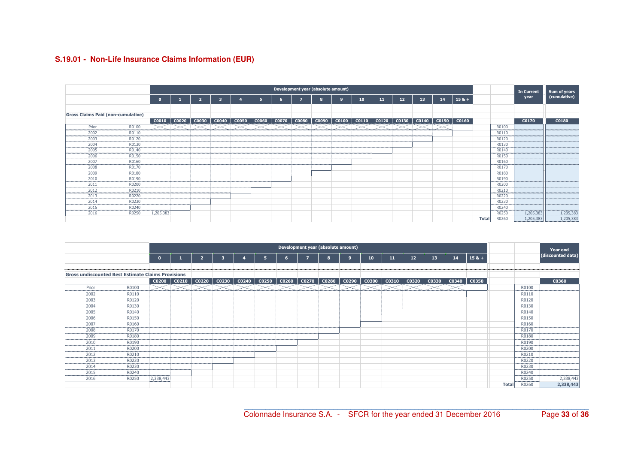## **S.19.01 - Non-Life Insurance Claims Information (EUR)**

|                                           |         |           | Development year (absolute amount)<br>In Current |              |       |              |              |              |              |              |                      |              |       |                 |       |       |         |       |                     |           |                              |
|-------------------------------------------|---------|-----------|--------------------------------------------------|--------------|-------|--------------|--------------|--------------|--------------|--------------|----------------------|--------------|-------|-----------------|-------|-------|---------|-------|---------------------|-----------|------------------------------|
|                                           |         | $\Omega$  |                                                  |              |       |              |              |              | 7            | $\mathbf{a}$ | ٠q                   | 10           | 11    | 12 <sup>2</sup> | 13    | 14    | $158 +$ |       |                     | year      | Sum of years<br>(cumulative) |
|                                           |         |           |                                                  |              |       |              |              |              |              |              |                      |              |       |                 |       |       |         |       |                     |           |                              |
| <b>Gross Claims Paid (non-cumulative)</b> |         |           |                                                  |              |       |              |              |              |              |              |                      |              |       |                 |       |       |         |       |                     |           |                              |
|                                           |         | C0010     | C0020                                            | <b>C0030</b> | C0040 | <b>C0050</b> | <b>C0060</b> | <b>C0070</b> | <b>C0080</b> |              | $\cos 90$ $\cos 100$ | <b>C0110</b> | C0120 | $\vert$ C0130   | C0140 | C0150 | C0160   |       |                     | C0170     | <b>C0180</b>                 |
| Prior                                     | R0100   |           |                                                  |              |       |              |              |              |              |              |                      |              |       |                 |       |       |         |       | R0100               |           |                              |
| 2002<br>--------<br>------------          | R0110   |           |                                                  |              |       |              |              |              |              |              |                      |              |       |                 |       |       |         |       | R0110               |           |                              |
| 2003                                      | R0120   |           |                                                  |              |       |              |              |              |              |              |                      |              |       |                 |       |       |         |       | R0120               |           |                              |
| 2004                                      | R0130   |           |                                                  |              |       |              |              |              |              |              |                      |              |       |                 |       |       |         |       | R0130               |           |                              |
| 2005                                      | R0140   |           |                                                  |              |       |              |              |              |              |              |                      |              |       |                 |       |       |         |       | R0140               |           |                              |
| 2006                                      | R0150   |           |                                                  |              |       |              |              |              |              |              |                      |              |       |                 |       |       |         |       | R0150               |           |                              |
| 2007                                      | R0160   |           |                                                  |              |       |              |              |              |              |              |                      |              |       |                 |       |       |         |       | R0160               |           |                              |
| 2008                                      | R0170   |           |                                                  |              |       |              |              |              |              |              |                      |              |       |                 |       |       |         |       | R0170               |           |                              |
| 2009                                      | R0180   |           |                                                  |              |       |              |              |              |              |              |                      |              |       |                 |       |       |         |       | R0180               |           |                              |
| 2010                                      | R0190   |           |                                                  |              |       |              |              |              |              |              |                      |              |       |                 |       |       |         |       | R0190               |           |                              |
| 2011                                      | R0200   |           |                                                  |              |       |              |              |              |              |              |                      |              |       |                 |       |       |         |       | R0200               |           |                              |
| ,,,,,,,,<br>2012                          | R0210   |           |                                                  |              |       |              |              |              |              |              |                      |              |       |                 |       |       |         |       | R0210               |           |                              |
| 2013                                      | R0220   |           |                                                  |              |       |              |              |              |              |              |                      |              |       |                 |       |       |         |       | R0220               |           |                              |
| 2014                                      | R0230   |           |                                                  |              |       |              |              |              |              |              |                      |              |       |                 |       |       |         |       | R0230               |           |                              |
| ********<br>2015                          | R0240   |           |                                                  |              |       |              |              |              |              |              |                      |              |       |                 |       |       |         |       | ,,,,,,,,,,<br>R0240 |           |                              |
| -------<br>2016                           | ------- |           |                                                  |              |       |              |              |              |              |              |                      |              |       |                 |       |       |         |       | --------<br>R0250   |           |                              |
|                                           | R0250   | 1,205,383 |                                                  |              |       |              |              |              |              |              |                      |              |       |                 |       |       |         |       |                     | 1,205,383 | 1,205,383                    |
|                                           |         |           |                                                  |              |       |              |              |              |              |              |                      |              |       |                 |       |       |         | Total | R0260               | 1,205,383 | 1,205,383                    |

|                                                           |       |              |                 |                   |                         |                               |                |   | Development year (absolute amount) |                                 |    |    |       |    |                     |              |       | Year end          |
|-----------------------------------------------------------|-------|--------------|-----------------|-------------------|-------------------------|-------------------------------|----------------|---|------------------------------------|---------------------------------|----|----|-------|----|---------------------|--------------|-------|-------------------|
|                                                           |       | $\mathbf{0}$ |                 | $\overline{2}$    | $\overline{\mathbf{3}}$ | 5                             | $6\phantom{1}$ | 7 | 8                                  | $\overline{9}$                  | 10 | 11 | 12    | 13 | 14                  | $158 +$      |       | (discounted data) |
|                                                           |       |              |                 |                   |                         |                               |                |   |                                    |                                 |    |    |       |    |                     |              |       |                   |
| <b>Gross undiscounted Best Estimate Claims Provisions</b> |       |              |                 |                   |                         |                               |                |   |                                    |                                 |    |    |       |    |                     |              |       |                   |
|                                                           |       |              | $CO200$ $CO210$ | CO <sub>220</sub> | C0230                   | C0240   C0250   C0260   C0270 |                |   |                                    | $CO280$ $CO290$ $CO300$ $CO310$ |    |    | C0320 |    | $\cos 30$ $\cos 40$ | C0350        |       | C0360             |
| Prior                                                     | R0100 |              |                 |                   |                         |                               |                |   |                                    |                                 |    |    |       |    |                     |              | R0100 |                   |
| 2002                                                      | R0110 |              |                 |                   |                         |                               |                |   |                                    |                                 |    |    |       |    |                     |              | R0110 |                   |
| 2003                                                      | R0120 |              |                 |                   |                         |                               |                |   |                                    |                                 |    |    |       |    |                     |              | R0120 |                   |
| 2004                                                      | R0130 |              |                 |                   |                         |                               |                |   |                                    |                                 |    |    |       |    |                     |              | R0130 |                   |
| 2005                                                      | R0140 |              |                 |                   |                         |                               |                |   |                                    |                                 |    |    |       |    |                     |              | R0140 |                   |
| 2006                                                      | R0150 |              |                 |                   |                         |                               |                |   |                                    |                                 |    |    |       |    |                     |              | R0150 |                   |
| 2007                                                      | R0160 |              |                 |                   |                         |                               |                |   |                                    |                                 |    |    |       |    |                     |              | R0160 |                   |
| 2008                                                      | R0170 |              |                 |                   |                         |                               |                |   |                                    |                                 |    |    |       |    |                     |              | R0170 |                   |
| 2009                                                      | R0180 |              |                 |                   |                         |                               |                |   |                                    |                                 |    |    |       |    |                     |              | R0180 |                   |
| 2010                                                      | R0190 |              |                 |                   |                         |                               |                |   |                                    |                                 |    |    |       |    |                     |              | R0190 |                   |
| 2011                                                      | R0200 |              |                 |                   |                         |                               |                |   |                                    |                                 |    |    |       |    |                     |              | R0200 |                   |
| 2012                                                      | R0210 |              |                 |                   |                         |                               |                |   |                                    |                                 |    |    |       |    |                     |              | R0210 |                   |
| 2013                                                      | R0220 |              |                 |                   |                         |                               |                |   |                                    |                                 |    |    |       |    |                     |              | R0220 |                   |
| 2014                                                      | R0230 |              |                 |                   |                         |                               |                |   |                                    |                                 |    |    |       |    |                     |              | R0230 |                   |
| 2015                                                      | R0240 |              |                 |                   |                         |                               |                |   |                                    |                                 |    |    |       |    |                     |              | R0240 |                   |
| 2016                                                      | R0250 | 2,338,443    |                 |                   |                         |                               |                |   |                                    |                                 |    |    |       |    |                     |              | R0250 | 2,338,443         |
|                                                           |       |              |                 |                   |                         |                               |                |   |                                    |                                 |    |    |       |    |                     | <b>Total</b> | R0260 | 2,338,443         |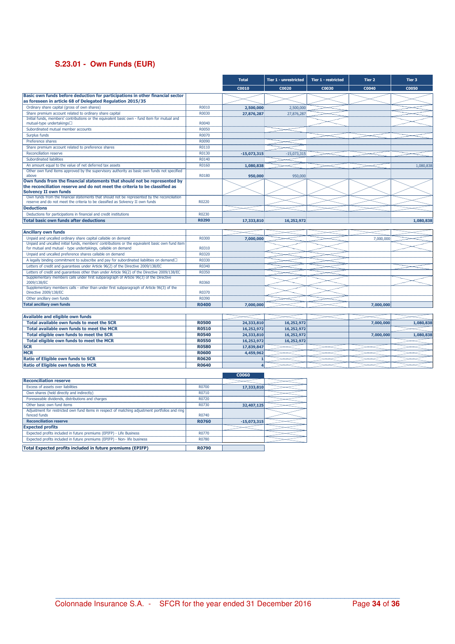## **S.23.01 - Own Funds (EUR)**

**Total Expected profits included in future premiums (EPIFP)** R0790

|                                                                                                                                                          |              | <b>Total</b>  | Tier 1 - unrestricted | Tier 1 - restricted | Tier 2    | Tier 3       |
|----------------------------------------------------------------------------------------------------------------------------------------------------------|--------------|---------------|-----------------------|---------------------|-----------|--------------|
|                                                                                                                                                          |              | C0010         | C0020                 | C0030               | C0040     | <b>C0050</b> |
| Basic own funds before deduction for participations in other financial sector<br>as foreseen in article 68 of Delegated Regulation 2015/35               |              |               |                       |                     |           |              |
| Ordinary share capital (gross of own shares)                                                                                                             | R0010        | 2,500,000     | 2,500,000             |                     |           |              |
| Share premium account related to ordinary share capital                                                                                                  | R0030        | 27,876,287    | 27,876,287            |                     |           |              |
| Initial funds, members' contributions or the equivalent basic own - fund item for mutual and<br>mutual-type undertakings□                                | R0040        |               |                       |                     |           |              |
| Subordinated mutual member accounts                                                                                                                      | R0050        |               |                       |                     |           |              |
| Surplus funds                                                                                                                                            | R0070        |               |                       |                     |           |              |
| Preference shares                                                                                                                                        | R0090        |               |                       |                     |           |              |
| Share premium account related to preference shares                                                                                                       | R0110        |               |                       |                     |           |              |
| Reconciliation reserve                                                                                                                                   | R0130        | $-15,073,315$ | $-15,073,315$         |                     |           |              |
| Subordinated liabilities                                                                                                                                 | R0140        |               |                       |                     |           |              |
| An amount equal to the value of net deferred tax assets                                                                                                  | R0160        | 1,080,838     |                       |                     |           | 1,080,838    |
| Other own fund items approved by the supervisory authority as basic own funds not specified                                                              |              |               |                       |                     |           |              |
| above                                                                                                                                                    | R0180        | 950,000       | 950,000               |                     |           |              |
| Own funds from the financial statements that should not be represented by<br>the reconciliation reserve and do not meet the criteria to be classified as |              |               |                       |                     |           |              |
| <b>Solvency II own funds</b>                                                                                                                             |              |               |                       |                     |           |              |
| Own funds from the financial statements that should not be represented by the reconciliation                                                             |              |               |                       |                     |           |              |
| reserve and do not meet the criteria to be classified as Solvency II own funds                                                                           | R0220        |               |                       |                     |           |              |
| <b>Deductions</b>                                                                                                                                        |              |               |                       |                     |           |              |
| Deductions for participations in financial and credit institutions                                                                                       | R0230        |               |                       |                     |           |              |
| <b>Total basic own funds after deductions</b>                                                                                                            | <b>R0290</b> | 17,333,810    | 16,252,972            |                     |           | 1,080,838    |
| <b>Ancillary own funds</b>                                                                                                                               |              |               |                       |                     |           |              |
| Unpaid and uncalled ordinary share capital callable on demand                                                                                            | R0300        |               |                       |                     |           |              |
| Unpaid and uncalled initial funds, members' contributions or the equivalent basic own fund item                                                          |              | 7,000,000     |                       |                     | 7,000,000 |              |
| for mutual and mutual - type undertakings, callable on demand                                                                                            | R0310        |               |                       |                     |           |              |
| Unpaid and uncalled preference shares callable on demand                                                                                                 | R0320        |               |                       |                     |           |              |
| A legally binding commitment to subscribe and pay for subordinated liabilities on demand <sup>I</sup>                                                    | R0330        |               |                       |                     |           |              |
| Letters of credit and guarantees under Article 96(2) of the Directive 2009/138/EC                                                                        | R0340        |               |                       |                     |           |              |
| Letters of credit and guarantees other than under Article 96(2) of the Directive 2009/138/EC                                                             | R0350        |               |                       |                     |           |              |
| Supplementary members calls under first subparagraph of Article 96(3) of the Directive                                                                   |              |               |                       |                     |           |              |
| 2009/138/EC                                                                                                                                              | R0360        |               |                       |                     |           |              |
| Supplementary members calls - other than under first subparagraph of Article 96(3) of the<br>Directive 2009/138/EC                                       | R0370        |               |                       |                     |           |              |
| Other ancillary own funds                                                                                                                                | R0390        |               |                       |                     |           |              |
| <b>Total ancillary own funds</b>                                                                                                                         | R0400        | 7,000,000     |                       |                     | 7,000,000 |              |
|                                                                                                                                                          |              |               |                       |                     |           |              |
| <b>Available and eligible own funds</b>                                                                                                                  |              |               |                       |                     |           |              |
| Total available own funds to meet the SCR                                                                                                                | <b>R0500</b> | 24,333,810    | 16,252,972            |                     | 7,000,000 | 1,080,838    |
| Total available own funds to meet the MCR                                                                                                                | R0510        | 16,252,972    | 16,252,972            |                     |           |              |
| Total eligible own funds to meet the SCR                                                                                                                 | <b>R0540</b> | 24,333,810    | 16,252,972            |                     | 7,000,000 | 1,080,838    |
| Total eligible own funds to meet the MCR                                                                                                                 | <b>R0550</b> | 16,252,972    | 16,252,972            |                     |           |              |
| <b>SCR</b>                                                                                                                                               | <b>R0580</b> | 17,839,847    |                       |                     |           |              |
| <b>MCR</b>                                                                                                                                               | <b>R0600</b> | 4,459,962     |                       |                     |           |              |
| Ratio of Eligible own funds to SCR                                                                                                                       | <b>R0620</b> |               |                       |                     |           |              |
| <b>Ratio of Eligible own funds to MCR</b>                                                                                                                | R0640        |               |                       |                     |           |              |
|                                                                                                                                                          |              | <b>C0060</b>  |                       |                     |           |              |
| <b>Reconciliation reserve</b>                                                                                                                            |              |               |                       |                     |           |              |
| Excess of assets over liabilities                                                                                                                        | R0700        | 17,333,810    |                       |                     |           |              |
| Own shares (held directly and indirectly)                                                                                                                | R0710        |               |                       |                     |           |              |
| Foreseeable dividends, distributions and charges                                                                                                         | R0720        |               |                       |                     |           |              |
| Other basic own fund items                                                                                                                               | R0730        | 32,407,125    |                       |                     |           |              |
| Adjustment for restricted own fund items in respect of matching adjustment portfolios and ring                                                           |              |               |                       |                     |           |              |
| fenced funds                                                                                                                                             | R0740        |               |                       |                     |           |              |
| <b>Reconciliation reserve</b>                                                                                                                            | <b>R0760</b> | $-15,073,315$ |                       |                     |           |              |
| <b>Expected profits</b>                                                                                                                                  |              |               |                       |                     |           |              |
| Expected profits included in future premiums (EPIFP) - Life Business                                                                                     | R0770        |               |                       |                     |           |              |
| Expected profits included in future premiums (EPIFP) - Non- life business                                                                                | R0780        |               |                       |                     |           |              |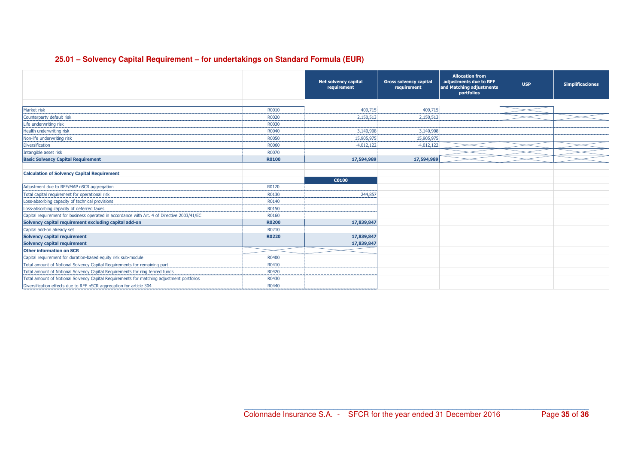#### **25.01 – Solvency Capital Requirement – for undertakings on Standard Formula (EUR)**

|                                                                                             |              | <b>Net solvency capital</b><br>requirement | <b>Gross solvency capital</b><br>requirement | <b>Allocation from</b><br>adjustments due to RFF<br>and Matching adjustments<br>portfolios | <b>USP</b> | <b>Simplificaciones</b> |
|---------------------------------------------------------------------------------------------|--------------|--------------------------------------------|----------------------------------------------|--------------------------------------------------------------------------------------------|------------|-------------------------|
|                                                                                             |              |                                            |                                              |                                                                                            |            |                         |
| Market risk                                                                                 | R0010        | 409,715                                    | 409,715                                      |                                                                                            |            |                         |
| Counterparty default risk                                                                   | R0020        | 2,150,513                                  | 2,150,513                                    |                                                                                            |            |                         |
| Life underwriting risk                                                                      | R0030        |                                            |                                              |                                                                                            |            |                         |
| Health underwriting risk                                                                    | R0040        | 3,140,908                                  | 3,140,908                                    |                                                                                            |            |                         |
| Non-life underwriting risk                                                                  | R0050        | 15,905,975                                 | 15,905,975                                   |                                                                                            |            |                         |
| Diversification                                                                             | R0060        | $-4,012,122$                               | $-4,012,122$                                 |                                                                                            |            |                         |
| Intangible asset risk                                                                       | R0070        |                                            |                                              |                                                                                            |            |                         |
| <b>Basic Solvency Capital Requirement</b>                                                   | <b>R0100</b> | 17,594,989                                 | 17,594,989                                   |                                                                                            |            |                         |
|                                                                                             |              |                                            |                                              |                                                                                            |            |                         |
| <b>Calculation of Solvency Capital Requirement</b>                                          |              |                                            |                                              |                                                                                            |            |                         |
|                                                                                             |              | C0100                                      |                                              |                                                                                            |            |                         |
| Adjustment due to RFF/MAP nSCR aggregation                                                  | R0120        |                                            |                                              |                                                                                            |            |                         |
| Total capital requirement for operational risk                                              | R0130        | 244,857                                    |                                              |                                                                                            |            |                         |
| Loss-absorbing capacity of technical provisions                                             | R0140        |                                            |                                              |                                                                                            |            |                         |
| Loss-absorbing capacity of deferred taxes                                                   | R0150        |                                            |                                              |                                                                                            |            |                         |
| Capital requirement for business operated in accordance with Art. 4 of Directive 2003/41/EC | R0160        |                                            |                                              |                                                                                            |            |                         |
| Solvency capital requirement excluding capital add-on                                       | <b>R0200</b> | 17,839,847                                 |                                              |                                                                                            |            |                         |
| Capital add-on already set                                                                  | R0210        |                                            |                                              |                                                                                            |            |                         |
| <b>Solvency capital requirement</b>                                                         | <b>R0220</b> | 17,839,847                                 |                                              |                                                                                            |            |                         |
| <b>Solvency capital requirement</b>                                                         |              | 17,839,847                                 |                                              |                                                                                            |            |                         |
| <b>Other information on SCR</b>                                                             |              |                                            |                                              |                                                                                            |            |                         |
| Capital requirement for duration-based equity risk sub-module                               | R0400        |                                            |                                              |                                                                                            |            |                         |
| Total amount of Notional Solvency Capital Requirements for remaining part                   | R0410        |                                            |                                              |                                                                                            |            |                         |
| Total amount of Notional Solvency Capital Requirements for ring fenced funds                | R0420        |                                            |                                              |                                                                                            |            |                         |
| Total amount of Notional Solvency Capital Requirements for matching adjustment portfolios   | R0430        |                                            |                                              |                                                                                            |            |                         |
| Diversification effects due to RFF nSCR aggregation for article 304                         | R0440        |                                            |                                              |                                                                                            |            |                         |